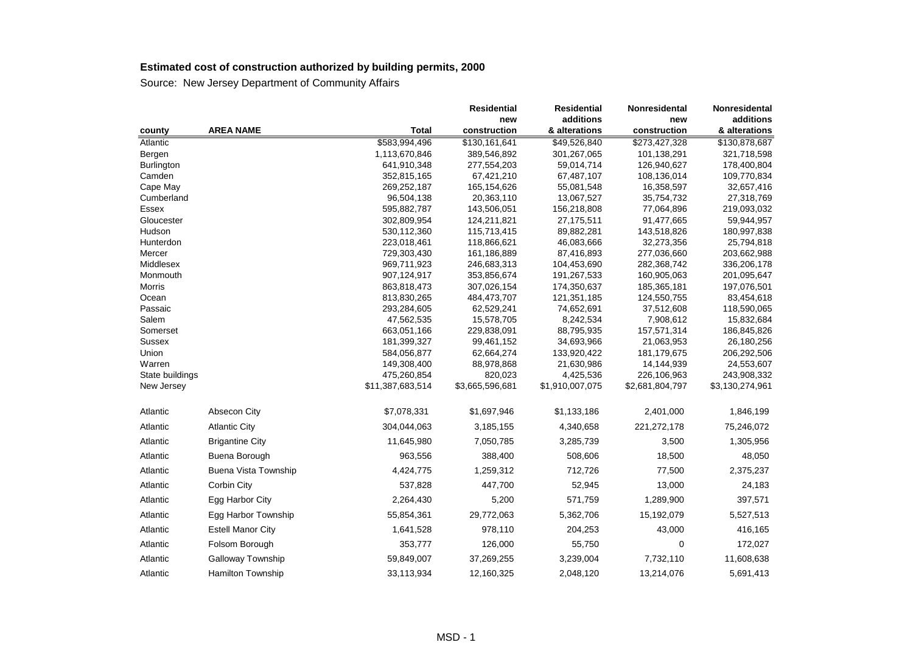|                 |                             |                            | <b>Residential</b>       | <b>Residential</b>        | Nonresidental               | Nonresidental             |
|-----------------|-----------------------------|----------------------------|--------------------------|---------------------------|-----------------------------|---------------------------|
|                 |                             |                            | new                      | additions                 | new                         | additions                 |
| county          | <b>AREA NAME</b>            | <b>Total</b>               | construction             | & alterations             | construction                | & alterations             |
| Atlantic        |                             | \$583,994,496              | \$130,161,641            | \$49,526,840              | \$273,427,328               | \$130,878,687             |
| Bergen          |                             | 1,113,670,846              | 389,546,892              | 301,267,065               | 101,138,291                 | 321,718,598               |
| Burlington      |                             | 641,910,348                | 277,554,203              | 59,014,714                | 126,940,627                 | 178,400,804               |
| Camden          |                             | 352,815,165                | 67,421,210               | 67,487,107                | 108,136,014                 | 109,770,834               |
| Cape May        |                             | 269,252,187                | 165,154,626              | 55,081,548                | 16,358,597                  | 32,657,416                |
| Cumberland      |                             | 96,504,138                 | 20,363,110               | 13,067,527                | 35,754,732                  | 27,318,769                |
| Essex           |                             | 595,882,787                | 143,506,051              | 156,218,808               | 77,064,896                  | 219,093,032               |
| Gloucester      |                             | 302,809,954                | 124,211,821              | 27,175,511                | 91,477,665                  | 59,944,957                |
| Hudson          |                             | 530,112,360                | 115,713,415              | 89,882,281                | 143,518,826                 | 180,997,838               |
| Hunterdon       |                             | 223,018,461                | 118,866,621              | 46,083,666                | 32,273,356                  | 25,794,818                |
| Mercer          |                             | 729,303,430                | 161,186,889              | 87,416,893                | 277,036,660                 | 203,662,988               |
| Middlesex       |                             | 969,711,923                | 246,683,313              | 104,453,690               | 282,368,742                 | 336,206,178               |
| Monmouth        |                             | 907,124,917                | 353,856,674              | 191,267,533               | 160,905,063                 | 201,095,647               |
| Morris          |                             | 863,818,473                | 307,026,154              | 174,350,637               | 185,365,181                 | 197,076,501               |
| Ocean           |                             | 813,830,265                | 484,473,707              | 121,351,185               | 124,550,755                 | 83,454,618                |
| Passaic         |                             | 293,284,605                | 62,529,241               | 74,652,691                | 37,512,608                  | 118,590,065               |
| Salem           |                             | 47,562,535                 | 15,578,705               | 8,242,534                 | 7,908,612                   | 15,832,684                |
| Somerset        |                             | 663,051,166                | 229,838,091              | 88,795,935                | 157,571,314                 | 186,845,826               |
| Sussex<br>Union |                             | 181,399,327<br>584,056,877 | 99,461,152<br>62,664,274 | 34,693,966<br>133,920,422 | 21,063,953<br>181, 179, 675 | 26,180,256                |
| Warren          |                             | 149,308,400                | 88,978,868               | 21,630,986                | 14,144,939                  | 206,292,506<br>24,553,607 |
| State buildings |                             | 475,260,854                | 820,023                  | 4,425,536                 | 226,106,963                 | 243,908,332               |
| New Jersey      |                             | \$11,387,683,514           | \$3,665,596,681          | \$1,910,007,075           | \$2,681,804,797             | \$3,130,274,961           |
|                 |                             |                            |                          |                           |                             |                           |
| Atlantic        | Absecon City                | \$7,078,331                | \$1,697,946              | \$1,133,186               | 2,401,000                   | 1,846,199                 |
| Atlantic        | <b>Atlantic City</b>        | 304,044,063                | 3,185,155                | 4,340,658                 | 221,272,178                 | 75,246,072                |
| Atlantic        | <b>Brigantine City</b>      | 11,645,980                 | 7,050,785                | 3,285,739                 | 3,500                       | 1,305,956                 |
| Atlantic        | Buena Borough               | 963,556                    | 388,400                  | 508,606                   | 18,500                      | 48,050                    |
| Atlantic        | <b>Buena Vista Township</b> | 4,424,775                  | 1,259,312                | 712,726                   | 77,500                      | 2,375,237                 |
| Atlantic        | Corbin City                 | 537,828                    | 447,700                  | 52,945                    | 13,000                      | 24,183                    |
| Atlantic        | Egg Harbor City             | 2,264,430                  | 5,200                    | 571,759                   | 1,289,900                   | 397,571                   |
| Atlantic        | Egg Harbor Township         | 55,854,361                 | 29,772,063               | 5,362,706                 | 15,192,079                  | 5,527,513                 |
| Atlantic        | <b>Estell Manor City</b>    | 1,641,528                  | 978,110                  | 204,253                   | 43,000                      | 416,165                   |
| Atlantic        | Folsom Borough              | 353,777                    | 126,000                  | 55,750                    | 0                           | 172,027                   |
| Atlantic        | <b>Galloway Township</b>    | 59,849,007                 | 37,269,255               | 3,239,004                 | 7,732,110                   | 11,608,638                |
| Atlantic        | <b>Hamilton Township</b>    | 33,113,934                 | 12,160,325               | 2,048,120                 | 13,214,076                  | 5,691,413                 |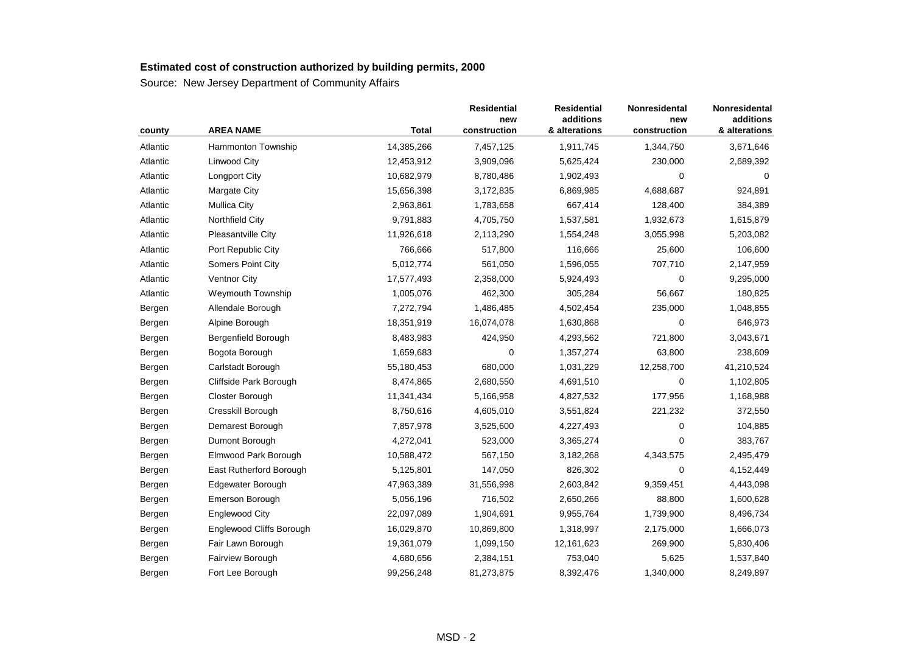| county   | <b>AREA NAME</b>         | <b>Total</b> | <b>Residential</b><br>new<br>construction | <b>Residential</b><br>additions<br>& alterations | Nonresidental<br>new<br>construction | Nonresidental<br>additions<br>& alterations |
|----------|--------------------------|--------------|-------------------------------------------|--------------------------------------------------|--------------------------------------|---------------------------------------------|
| Atlantic | Hammonton Township       | 14,385,266   | 7,457,125                                 | 1,911,745                                        | 1,344,750                            | 3,671,646                                   |
| Atlantic | Linwood City             | 12,453,912   | 3,909,096                                 | 5,625,424                                        | 230,000                              | 2,689,392                                   |
| Atlantic | <b>Longport City</b>     | 10,682,979   | 8,780,486                                 | 1,902,493                                        | 0                                    | $\Omega$                                    |
| Atlantic | <b>Margate City</b>      | 15,656,398   | 3,172,835                                 | 6,869,985                                        | 4,688,687                            | 924,891                                     |
| Atlantic | <b>Mullica City</b>      | 2,963,861    | 1,783,658                                 | 667,414                                          | 128,400                              | 384,389                                     |
| Atlantic | Northfield City          | 9,791,883    | 4,705,750                                 | 1,537,581                                        | 1,932,673                            | 1,615,879                                   |
| Atlantic | Pleasantville City       | 11,926,618   | 2,113,290                                 | 1,554,248                                        | 3,055,998                            | 5,203,082                                   |
| Atlantic | Port Republic City       | 766,666      | 517,800                                   | 116,666                                          | 25,600                               | 106,600                                     |
| Atlantic | <b>Somers Point City</b> | 5,012,774    | 561,050                                   | 1,596,055                                        | 707,710                              | 2,147,959                                   |
| Atlantic | Ventnor City             | 17,577,493   | 2,358,000                                 | 5,924,493                                        | 0                                    | 9,295,000                                   |
| Atlantic | Weymouth Township        | 1,005,076    | 462,300                                   | 305,284                                          | 56,667                               | 180,825                                     |
| Bergen   | Allendale Borough        | 7,272,794    | 1,486,485                                 | 4,502,454                                        | 235,000                              | 1,048,855                                   |
| Bergen   | Alpine Borough           | 18,351,919   | 16,074,078                                | 1,630,868                                        | 0                                    | 646,973                                     |
| Bergen   | Bergenfield Borough      | 8,483,983    | 424,950                                   | 4,293,562                                        | 721,800                              | 3,043,671                                   |
| Bergen   | Bogota Borough           | 1,659,683    | 0                                         | 1,357,274                                        | 63,800                               | 238,609                                     |
| Bergen   | Carlstadt Borough        | 55,180,453   | 680,000                                   | 1,031,229                                        | 12,258,700                           | 41,210,524                                  |
| Bergen   | Cliffside Park Borough   | 8,474,865    | 2,680,550                                 | 4,691,510                                        | 0                                    | 1,102,805                                   |
| Bergen   | Closter Borough          | 11,341,434   | 5,166,958                                 | 4,827,532                                        | 177,956                              | 1,168,988                                   |
| Bergen   | Cresskill Borough        | 8,750,616    | 4,605,010                                 | 3,551,824                                        | 221,232                              | 372,550                                     |
| Bergen   | Demarest Borough         | 7,857,978    | 3,525,600                                 | 4,227,493                                        | 0                                    | 104,885                                     |
| Bergen   | Dumont Borough           | 4,272,041    | 523,000                                   | 3,365,274                                        | $\Omega$                             | 383,767                                     |
| Bergen   | Elmwood Park Borough     | 10,588,472   | 567,150                                   | 3,182,268                                        | 4,343,575                            | 2,495,479                                   |
| Bergen   | East Rutherford Borough  | 5,125,801    | 147,050                                   | 826,302                                          | 0                                    | 4,152,449                                   |
| Bergen   | Edgewater Borough        | 47,963,389   | 31,556,998                                | 2,603,842                                        | 9,359,451                            | 4,443,098                                   |
| Bergen   | Emerson Borough          | 5,056,196    | 716,502                                   | 2,650,266                                        | 88,800                               | 1,600,628                                   |
| Bergen   | <b>Englewood City</b>    | 22,097,089   | 1,904,691                                 | 9,955,764                                        | 1,739,900                            | 8,496,734                                   |
| Bergen   | Englewood Cliffs Borough | 16,029,870   | 10,869,800                                | 1,318,997                                        | 2,175,000                            | 1,666,073                                   |
| Bergen   | Fair Lawn Borough        | 19,361,079   | 1,099,150                                 | 12,161,623                                       | 269,900                              | 5,830,406                                   |
| Bergen   | Fairview Borough         | 4,680,656    | 2,384,151                                 | 753,040                                          | 5,625                                | 1,537,840                                   |
| Bergen   | Fort Lee Borough         | 99,256,248   | 81,273,875                                | 8,392,476                                        | 1,340,000                            | 8,249,897                                   |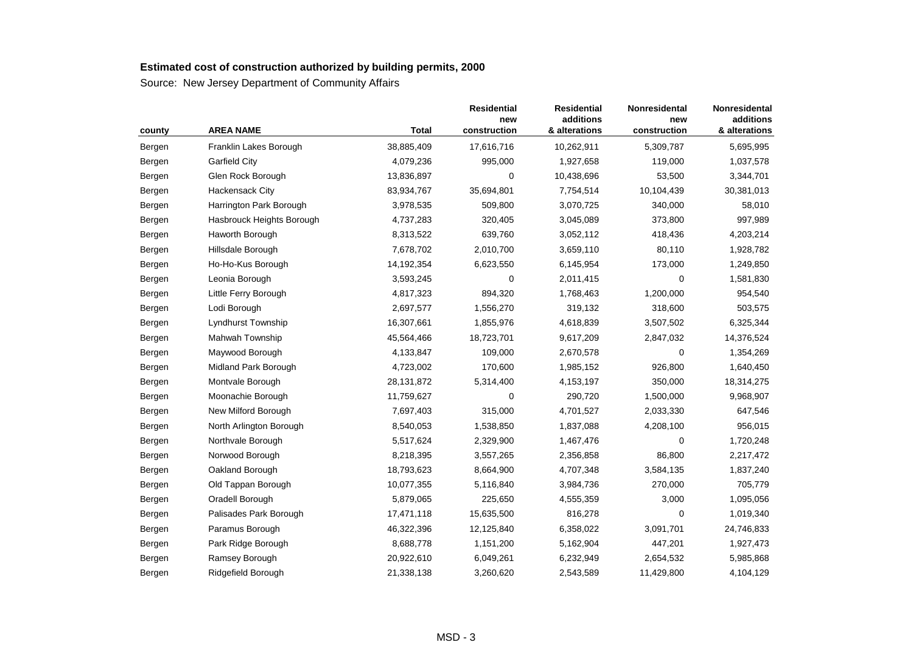| county | <b>AREA NAME</b>          | <b>Total</b> | <b>Residential</b><br>new<br>construction | <b>Residential</b><br>additions<br>& alterations | Nonresidental<br>new<br>construction | Nonresidental<br>additions<br>& alterations |
|--------|---------------------------|--------------|-------------------------------------------|--------------------------------------------------|--------------------------------------|---------------------------------------------|
| Bergen | Franklin Lakes Borough    | 38,885,409   | 17,616,716                                | 10,262,911                                       | 5,309,787                            | 5,695,995                                   |
| Bergen | <b>Garfield City</b>      | 4,079,236    | 995,000                                   | 1,927,658                                        | 119,000                              | 1,037,578                                   |
| Bergen | Glen Rock Borough         | 13,836,897   | 0                                         | 10,438,696                                       | 53,500                               | 3,344,701                                   |
| Bergen | Hackensack City           | 83,934,767   | 35,694,801                                | 7,754,514                                        | 10,104,439                           | 30,381,013                                  |
| Bergen | Harrington Park Borough   | 3,978,535    | 509,800                                   | 3,070,725                                        | 340,000                              | 58,010                                      |
| Bergen | Hasbrouck Heights Borough | 4,737,283    | 320,405                                   | 3,045,089                                        | 373,800                              | 997,989                                     |
| Bergen | Haworth Borough           | 8,313,522    | 639,760                                   | 3,052,112                                        | 418,436                              | 4,203,214                                   |
| Bergen | Hillsdale Borough         | 7,678,702    | 2,010,700                                 | 3,659,110                                        | 80,110                               | 1,928,782                                   |
| Bergen | Ho-Ho-Kus Borough         | 14,192,354   | 6,623,550                                 | 6,145,954                                        | 173,000                              | 1,249,850                                   |
| Bergen | Leonia Borough            | 3,593,245    | 0                                         | 2,011,415                                        | 0                                    | 1,581,830                                   |
| Bergen | Little Ferry Borough      | 4,817,323    | 894,320                                   | 1,768,463                                        | 1,200,000                            | 954,540                                     |
| Bergen | Lodi Borough              | 2,697,577    | 1,556,270                                 | 319,132                                          | 318,600                              | 503,575                                     |
| Bergen | <b>Lyndhurst Township</b> | 16,307,661   | 1,855,976                                 | 4,618,839                                        | 3,507,502                            | 6,325,344                                   |
| Bergen | Mahwah Township           | 45,564,466   | 18,723,701                                | 9,617,209                                        | 2,847,032                            | 14,376,524                                  |
| Bergen | Maywood Borough           | 4,133,847    | 109,000                                   | 2,670,578                                        | 0                                    | 1,354,269                                   |
| Bergen | Midland Park Borough      | 4,723,002    | 170,600                                   | 1,985,152                                        | 926,800                              | 1,640,450                                   |
| Bergen | Montvale Borough          | 28,131,872   | 5,314,400                                 | 4,153,197                                        | 350,000                              | 18,314,275                                  |
| Bergen | Moonachie Borough         | 11,759,627   | 0                                         | 290,720                                          | 1,500,000                            | 9,968,907                                   |
| Bergen | New Milford Borough       | 7,697,403    | 315,000                                   | 4,701,527                                        | 2,033,330                            | 647,546                                     |
| Bergen | North Arlington Borough   | 8,540,053    | 1,538,850                                 | 1,837,088                                        | 4,208,100                            | 956,015                                     |
| Bergen | Northvale Borough         | 5,517,624    | 2,329,900                                 | 1,467,476                                        | 0                                    | 1,720,248                                   |
| Bergen | Norwood Borough           | 8,218,395    | 3,557,265                                 | 2,356,858                                        | 86,800                               | 2,217,472                                   |
| Bergen | Oakland Borough           | 18,793,623   | 8,664,900                                 | 4,707,348                                        | 3,584,135                            | 1,837,240                                   |
| Bergen | Old Tappan Borough        | 10,077,355   | 5,116,840                                 | 3,984,736                                        | 270,000                              | 705,779                                     |
| Bergen | Oradell Borough           | 5,879,065    | 225,650                                   | 4,555,359                                        | 3,000                                | 1,095,056                                   |
| Bergen | Palisades Park Borough    | 17,471,118   | 15,635,500                                | 816,278                                          | $\mathbf 0$                          | 1,019,340                                   |
| Bergen | Paramus Borough           | 46,322,396   | 12,125,840                                | 6,358,022                                        | 3,091,701                            | 24,746,833                                  |
| Bergen | Park Ridge Borough        | 8,688,778    | 1,151,200                                 | 5,162,904                                        | 447,201                              | 1,927,473                                   |
| Bergen | Ramsey Borough            | 20,922,610   | 6,049,261                                 | 6,232,949                                        | 2,654,532                            | 5,985,868                                   |
| Bergen | Ridgefield Borough        | 21,338,138   | 3,260,620                                 | 2,543,589                                        | 11,429,800                           | 4,104,129                                   |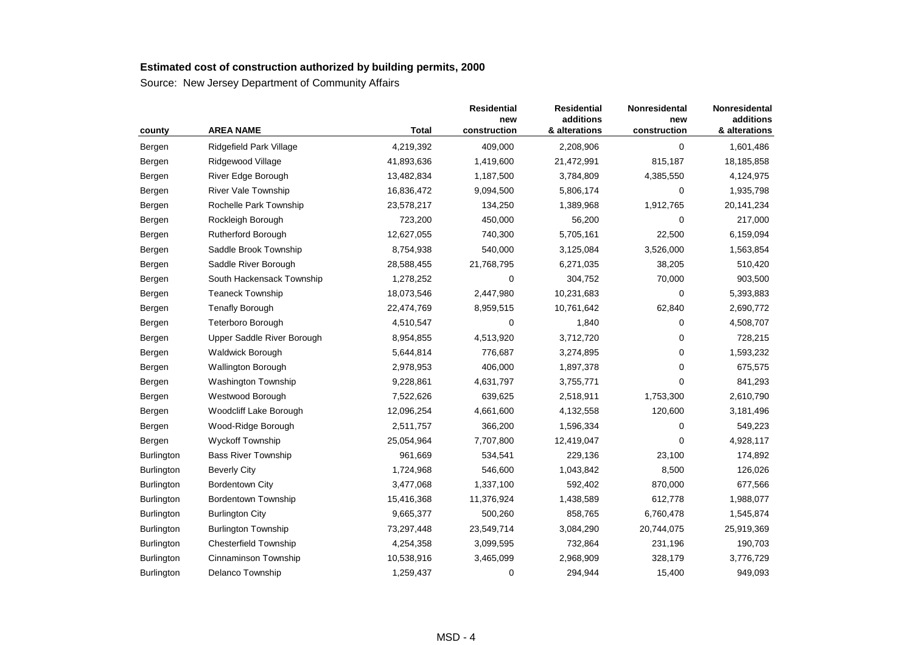| county            | <b>AREA NAME</b>             | <b>Total</b> | <b>Residential</b><br>new<br>construction | <b>Residential</b><br>additions<br>& alterations | <b>Nonresidental</b><br>new<br>construction | Nonresidental<br>additions<br>& alterations |
|-------------------|------------------------------|--------------|-------------------------------------------|--------------------------------------------------|---------------------------------------------|---------------------------------------------|
| Bergen            | Ridgefield Park Village      | 4,219,392    | 409,000                                   | 2,208,906                                        | $\mathbf 0$                                 | 1,601,486                                   |
| Bergen            | Ridgewood Village            | 41,893,636   | 1,419,600                                 | 21,472,991                                       | 815,187                                     | 18,185,858                                  |
| Bergen            | River Edge Borough           | 13,482,834   | 1,187,500                                 | 3,784,809                                        | 4,385,550                                   | 4,124,975                                   |
| Bergen            | <b>River Vale Township</b>   | 16,836,472   | 9,094,500                                 | 5,806,174                                        | 0                                           | 1,935,798                                   |
| Bergen            | Rochelle Park Township       | 23,578,217   | 134,250                                   | 1,389,968                                        | 1,912,765                                   | 20, 141, 234                                |
| Bergen            | Rockleigh Borough            | 723,200      | 450,000                                   | 56,200                                           | $\mathbf 0$                                 | 217,000                                     |
| Bergen            | <b>Rutherford Borough</b>    | 12,627,055   | 740,300                                   | 5,705,161                                        | 22,500                                      | 6,159,094                                   |
| Bergen            | Saddle Brook Township        | 8,754,938    | 540,000                                   | 3,125,084                                        | 3,526,000                                   | 1,563,854                                   |
| Bergen            | Saddle River Borough         | 28,588,455   | 21,768,795                                | 6,271,035                                        | 38,205                                      | 510,420                                     |
| Bergen            | South Hackensack Township    | 1,278,252    | 0                                         | 304,752                                          | 70,000                                      | 903,500                                     |
| Bergen            | <b>Teaneck Township</b>      | 18,073,546   | 2,447,980                                 | 10,231,683                                       | 0                                           | 5,393,883                                   |
| Bergen            | <b>Tenafly Borough</b>       | 22,474,769   | 8,959,515                                 | 10,761,642                                       | 62,840                                      | 2,690,772                                   |
| Bergen            | <b>Teterboro Borough</b>     | 4,510,547    | 0                                         | 1,840                                            | 0                                           | 4,508,707                                   |
| Bergen            | Upper Saddle River Borough   | 8,954,855    | 4,513,920                                 | 3,712,720                                        | 0                                           | 728,215                                     |
| Bergen            | <b>Waldwick Borough</b>      | 5,644,814    | 776,687                                   | 3,274,895                                        | $\mathbf 0$                                 | 1,593,232                                   |
| Bergen            | <b>Wallington Borough</b>    | 2,978,953    | 406,000                                   | 1,897,378                                        | 0                                           | 675,575                                     |
| Bergen            | Washington Township          | 9,228,861    | 4,631,797                                 | 3,755,771                                        | 0                                           | 841,293                                     |
| Bergen            | Westwood Borough             | 7,522,626    | 639,625                                   | 2,518,911                                        | 1,753,300                                   | 2,610,790                                   |
| Bergen            | Woodcliff Lake Borough       | 12,096,254   | 4,661,600                                 | 4,132,558                                        | 120,600                                     | 3,181,496                                   |
| Bergen            | Wood-Ridge Borough           | 2,511,757    | 366,200                                   | 1,596,334                                        | 0                                           | 549,223                                     |
| Bergen            | Wyckoff Township             | 25,054,964   | 7,707,800                                 | 12,419,047                                       | 0                                           | 4,928,117                                   |
| Burlington        | <b>Bass River Township</b>   | 961,669      | 534,541                                   | 229,136                                          | 23,100                                      | 174,892                                     |
| <b>Burlington</b> | <b>Beverly City</b>          | 1,724,968    | 546,600                                   | 1,043,842                                        | 8,500                                       | 126,026                                     |
| Burlington        | <b>Bordentown City</b>       | 3,477,068    | 1,337,100                                 | 592,402                                          | 870,000                                     | 677,566                                     |
| Burlington        | Bordentown Township          | 15,416,368   | 11,376,924                                | 1,438,589                                        | 612,778                                     | 1,988,077                                   |
| Burlington        | <b>Burlington City</b>       | 9,665,377    | 500,260                                   | 858,765                                          | 6,760,478                                   | 1,545,874                                   |
| Burlington        | <b>Burlington Township</b>   | 73,297,448   | 23,549,714                                | 3,084,290                                        | 20,744,075                                  | 25,919,369                                  |
| Burlington        | <b>Chesterfield Township</b> | 4,254,358    | 3,099,595                                 | 732,864                                          | 231,196                                     | 190,703                                     |
| Burlington        | Cinnaminson Township         | 10,538,916   | 3,465,099                                 | 2,968,909                                        | 328,179                                     | 3,776,729                                   |
| Burlington        | Delanco Township             | 1,259,437    | 0                                         | 294,944                                          | 15,400                                      | 949,093                                     |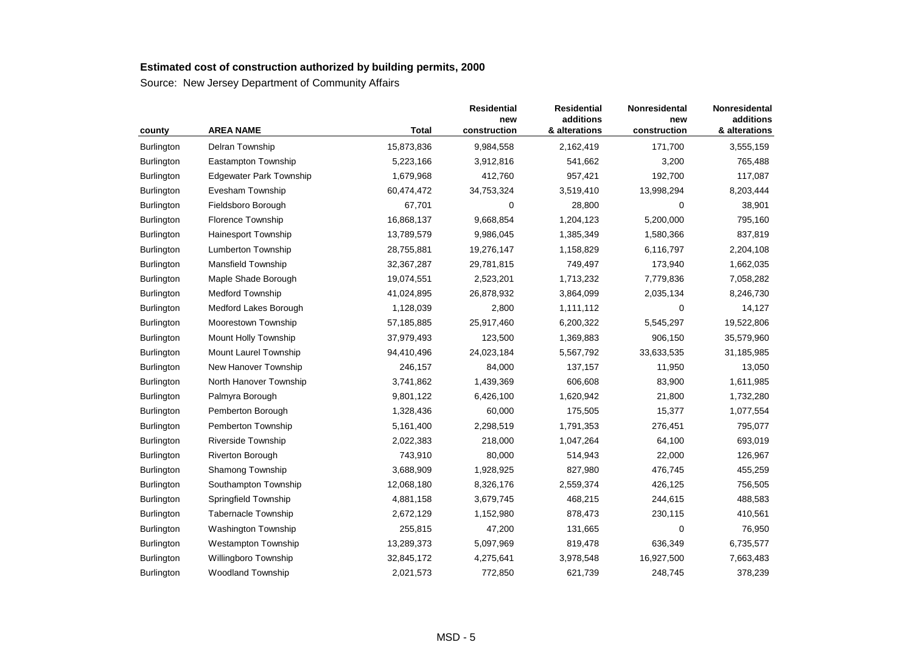|                   | <b>AREA NAME</b>               | <b>Total</b> | <b>Residential</b><br>new<br>construction | <b>Residential</b><br>additions<br>& alterations | Nonresidental<br>new<br>construction | Nonresidental<br>additions<br>& alterations |
|-------------------|--------------------------------|--------------|-------------------------------------------|--------------------------------------------------|--------------------------------------|---------------------------------------------|
| county            |                                |              |                                           |                                                  |                                      |                                             |
| <b>Burlington</b> | Delran Township                | 15,873,836   | 9,984,558                                 | 2,162,419                                        | 171,700                              | 3,555,159                                   |
| <b>Burlington</b> | Eastampton Township            | 5,223,166    | 3,912,816                                 | 541,662                                          | 3,200                                | 765,488                                     |
| Burlington        | <b>Edgewater Park Township</b> | 1,679,968    | 412,760                                   | 957,421                                          | 192,700                              | 117,087                                     |
| Burlington        | Evesham Township               | 60,474,472   | 34,753,324                                | 3,519,410                                        | 13,998,294                           | 8,203,444                                   |
| <b>Burlington</b> | Fieldsboro Borough             | 67,701       | 0                                         | 28,800                                           | 0                                    | 38,901                                      |
| Burlington        | Florence Township              | 16,868,137   | 9,668,854                                 | 1,204,123                                        | 5,200,000                            | 795,160                                     |
| Burlington        | <b>Hainesport Township</b>     | 13,789,579   | 9,986,045                                 | 1,385,349                                        | 1,580,366                            | 837,819                                     |
| <b>Burlington</b> | Lumberton Township             | 28,755,881   | 19,276,147                                | 1,158,829                                        | 6,116,797                            | 2,204,108                                   |
| Burlington        | Mansfield Township             | 32, 367, 287 | 29,781,815                                | 749,497                                          | 173,940                              | 1,662,035                                   |
| Burlington        | Maple Shade Borough            | 19,074,551   | 2,523,201                                 | 1,713,232                                        | 7,779,836                            | 7,058,282                                   |
| <b>Burlington</b> | <b>Medford Township</b>        | 41,024,895   | 26,878,932                                | 3,864,099                                        | 2,035,134                            | 8,246,730                                   |
| <b>Burlington</b> | Medford Lakes Borough          | 1,128,039    | 2,800                                     | 1,111,112                                        | 0                                    | 14,127                                      |
| Burlington        | Moorestown Township            | 57,185,885   | 25,917,460                                | 6,200,322                                        | 5,545,297                            | 19,522,806                                  |
| Burlington        | Mount Holly Township           | 37,979,493   | 123,500                                   | 1,369,883                                        | 906,150                              | 35,579,960                                  |
| Burlington        | Mount Laurel Township          | 94,410,496   | 24,023,184                                | 5,567,792                                        | 33,633,535                           | 31,185,985                                  |
| Burlington        | New Hanover Township           | 246,157      | 84,000                                    | 137,157                                          | 11,950                               | 13,050                                      |
| Burlington        | North Hanover Township         | 3,741,862    | 1,439,369                                 | 606,608                                          | 83,900                               | 1,611,985                                   |
| <b>Burlington</b> | Palmyra Borough                | 9,801,122    | 6,426,100                                 | 1,620,942                                        | 21,800                               | 1,732,280                                   |
| <b>Burlington</b> | Pemberton Borough              | 1,328,436    | 60,000                                    | 175,505                                          | 15,377                               | 1,077,554                                   |
| Burlington        | Pemberton Township             | 5,161,400    | 2,298,519                                 | 1,791,353                                        | 276,451                              | 795,077                                     |
| Burlington        | Riverside Township             | 2,022,383    | 218,000                                   | 1,047,264                                        | 64,100                               | 693,019                                     |
| <b>Burlington</b> | <b>Riverton Borough</b>        | 743,910      | 80,000                                    | 514,943                                          | 22,000                               | 126,967                                     |
| <b>Burlington</b> | <b>Shamong Township</b>        | 3,688,909    | 1,928,925                                 | 827,980                                          | 476,745                              | 455,259                                     |
| Burlington        | Southampton Township           | 12,068,180   | 8,326,176                                 | 2,559,374                                        | 426,125                              | 756,505                                     |
| Burlington        | Springfield Township           | 4,881,158    | 3,679,745                                 | 468,215                                          | 244,615                              | 488,583                                     |
| Burlington        | Tabernacle Township            | 2,672,129    | 1,152,980                                 | 878,473                                          | 230,115                              | 410,561                                     |
| Burlington        | Washington Township            | 255,815      | 47,200                                    | 131,665                                          | 0                                    | 76,950                                      |
| <b>Burlington</b> | <b>Westampton Township</b>     | 13,289,373   | 5,097,969                                 | 819,478                                          | 636,349                              | 6,735,577                                   |
| <b>Burlington</b> | <b>Willingboro Township</b>    | 32,845,172   | 4,275,641                                 | 3,978,548                                        | 16,927,500                           | 7,663,483                                   |
| Burlington        | <b>Woodland Township</b>       | 2,021,573    | 772,850                                   | 621,739                                          | 248,745                              | 378,239                                     |
|                   |                                |              |                                           |                                                  |                                      |                                             |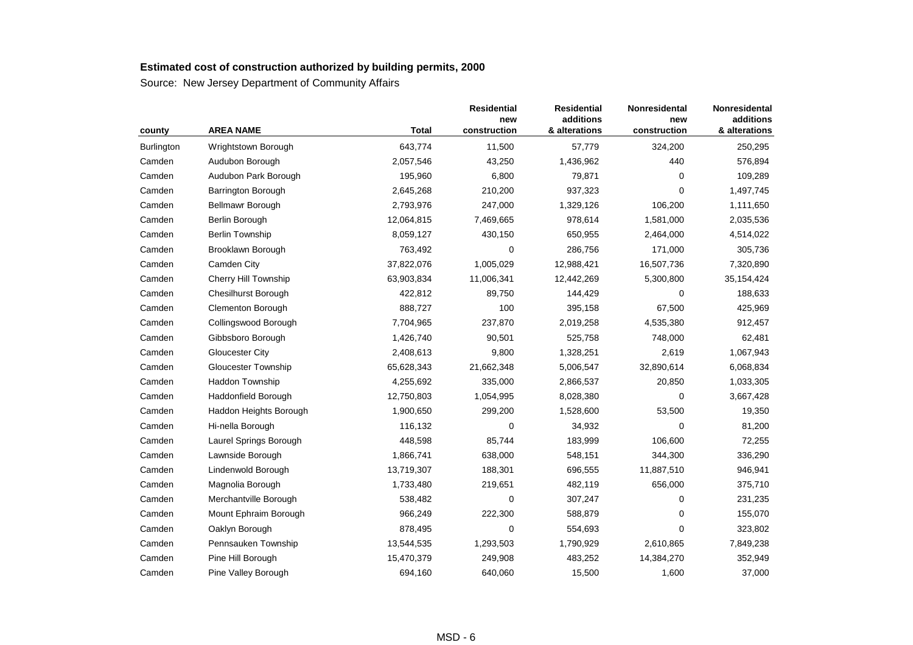| county            | <b>AREA NAME</b>            | <b>Total</b> | <b>Residential</b><br>new<br>construction | <b>Residential</b><br>additions<br>& alterations | Nonresidental<br>new<br>construction | Nonresidental<br>additions<br>& alterations |
|-------------------|-----------------------------|--------------|-------------------------------------------|--------------------------------------------------|--------------------------------------|---------------------------------------------|
| <b>Burlington</b> | Wrightstown Borough         | 643,774      | 11,500                                    | 57,779                                           | 324,200                              | 250,295                                     |
| Camden            | Audubon Borough             | 2,057,546    | 43,250                                    | 1,436,962                                        | 440                                  | 576,894                                     |
| Camden            | Audubon Park Borough        | 195,960      | 6,800                                     | 79,871                                           | $\mathbf 0$                          | 109,289                                     |
| Camden            | Barrington Borough          | 2,645,268    | 210,200                                   | 937,323                                          | 0                                    | 1,497,745                                   |
| Camden            | Bellmawr Borough            | 2,793,976    | 247,000                                   | 1,329,126                                        | 106,200                              | 1,111,650                                   |
| Camden            | Berlin Borough              | 12,064,815   | 7,469,665                                 | 978,614                                          | 1,581,000                            | 2,035,536                                   |
| Camden            | <b>Berlin Township</b>      | 8,059,127    | 430,150                                   | 650,955                                          | 2,464,000                            | 4,514,022                                   |
| Camden            | Brooklawn Borough           | 763,492      | 0                                         | 286,756                                          | 171,000                              | 305,736                                     |
| Camden            | Camden City                 | 37,822,076   | 1,005,029                                 | 12,988,421                                       | 16,507,736                           | 7,320,890                                   |
| Camden            | <b>Cherry Hill Township</b> | 63,903,834   | 11,006,341                                | 12,442,269                                       | 5,300,800                            | 35,154,424                                  |
| Camden            | <b>Chesilhurst Borough</b>  | 422,812      | 89,750                                    | 144,429                                          | 0                                    | 188,633                                     |
| Camden            | Clementon Borough           | 888,727      | 100                                       | 395,158                                          | 67,500                               | 425,969                                     |
| Camden            | Collingswood Borough        | 7,704,965    | 237,870                                   | 2,019,258                                        | 4,535,380                            | 912,457                                     |
| Camden            | Gibbsboro Borough           | 1,426,740    | 90,501                                    | 525,758                                          | 748,000                              | 62,481                                      |
| Camden            | Gloucester City             | 2,408,613    | 9,800                                     | 1,328,251                                        | 2,619                                | 1,067,943                                   |
| Camden            | <b>Gloucester Township</b>  | 65,628,343   | 21,662,348                                | 5,006,547                                        | 32,890,614                           | 6,068,834                                   |
| Camden            | <b>Haddon Township</b>      | 4,255,692    | 335,000                                   | 2,866,537                                        | 20,850                               | 1,033,305                                   |
| Camden            | Haddonfield Borough         | 12,750,803   | 1,054,995                                 | 8,028,380                                        | 0                                    | 3,667,428                                   |
| Camden            | Haddon Heights Borough      | 1,900,650    | 299,200                                   | 1,528,600                                        | 53,500                               | 19,350                                      |
| Camden            | Hi-nella Borough            | 116,132      | $\mathbf 0$                               | 34,932                                           | $\mathbf 0$                          | 81,200                                      |
| Camden            | Laurel Springs Borough      | 448,598      | 85,744                                    | 183,999                                          | 106,600                              | 72,255                                      |
| Camden            | Lawnside Borough            | 1,866,741    | 638,000                                   | 548,151                                          | 344,300                              | 336,290                                     |
| Camden            | Lindenwold Borough          | 13,719,307   | 188,301                                   | 696,555                                          | 11,887,510                           | 946,941                                     |
| Camden            | Magnolia Borough            | 1,733,480    | 219,651                                   | 482,119                                          | 656,000                              | 375,710                                     |
| Camden            | Merchantville Borough       | 538,482      | 0                                         | 307,247                                          | 0                                    | 231,235                                     |
| Camden            | Mount Ephraim Borough       | 966,249      | 222,300                                   | 588,879                                          | $\mathbf 0$                          | 155,070                                     |
| Camden            | Oaklyn Borough              | 878,495      | $\mathbf 0$                               | 554,693                                          | $\mathbf 0$                          | 323,802                                     |
| Camden            | Pennsauken Township         | 13,544,535   | 1,293,503                                 | 1,790,929                                        | 2,610,865                            | 7,849,238                                   |
| Camden            | Pine Hill Borough           | 15,470,379   | 249,908                                   | 483,252                                          | 14,384,270                           | 352,949                                     |
| Camden            | Pine Valley Borough         | 694,160      | 640,060                                   | 15,500                                           | 1,600                                | 37,000                                      |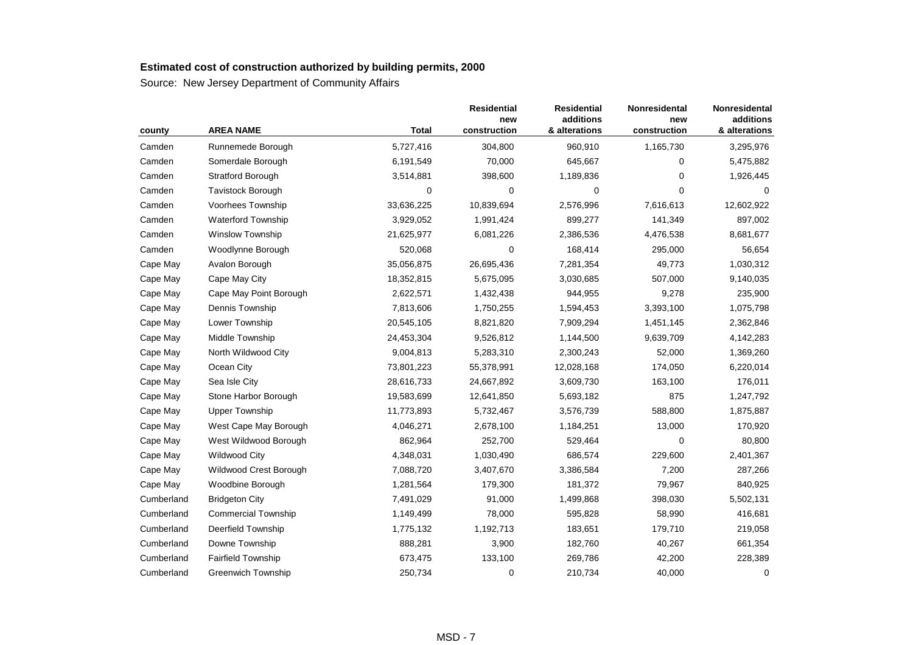| county     | <b>AREA NAME</b>           | <b>Total</b> | <b>Residential</b><br>new<br>construction | <b>Residential</b><br>additions<br>& alterations | Nonresidental<br>new<br>construction | Nonresidental<br>additions<br>& alterations |
|------------|----------------------------|--------------|-------------------------------------------|--------------------------------------------------|--------------------------------------|---------------------------------------------|
| Camden     | Runnemede Borough          | 5,727,416    | 304,800                                   | 960,910                                          | 1,165,730                            | 3,295,976                                   |
| Camden     | Somerdale Borough          | 6,191,549    | 70,000                                    | 645,667                                          | 0                                    | 5,475,882                                   |
| Camden     | Stratford Borough          | 3,514,881    | 398,600                                   | 1,189,836                                        | 0                                    | 1,926,445                                   |
| Camden     | Tavistock Borough          | 0            | 0                                         | $\mathbf 0$                                      | 0                                    | 0                                           |
| Camden     | Voorhees Township          | 33,636,225   | 10,839,694                                | 2,576,996                                        | 7,616,613                            | 12,602,922                                  |
| Camden     | <b>Waterford Township</b>  | 3,929,052    | 1,991,424                                 | 899,277                                          | 141,349                              | 897,002                                     |
| Camden     | Winslow Township           | 21,625,977   | 6,081,226                                 | 2,386,536                                        | 4,476,538                            | 8,681,677                                   |
| Camden     | Woodlynne Borough          | 520,068      | $\mathbf 0$                               | 168,414                                          | 295,000                              | 56,654                                      |
| Cape May   | Avalon Borough             | 35,056,875   | 26,695,436                                | 7,281,354                                        | 49,773                               | 1,030,312                                   |
| Cape May   | Cape May City              | 18,352,815   | 5,675,095                                 | 3,030,685                                        | 507,000                              | 9,140,035                                   |
| Cape May   | Cape May Point Borough     | 2,622,571    | 1,432,438                                 | 944,955                                          | 9,278                                | 235,900                                     |
| Cape May   | Dennis Township            | 7,813,606    | 1,750,255                                 | 1,594,453                                        | 3,393,100                            | 1,075,798                                   |
| Cape May   | Lower Township             | 20,545,105   | 8,821,820                                 | 7,909,294                                        | 1,451,145                            | 2,362,846                                   |
| Cape May   | Middle Township            | 24,453,304   | 9,526,812                                 | 1,144,500                                        | 9,639,709                            | 4,142,283                                   |
| Cape May   | North Wildwood City        | 9,004,813    | 5,283,310                                 | 2,300,243                                        | 52,000                               | 1,369,260                                   |
| Cape May   | Ocean City                 | 73,801,223   | 55,378,991                                | 12,028,168                                       | 174,050                              | 6,220,014                                   |
| Cape May   | Sea Isle City              | 28,616,733   | 24,667,892                                | 3,609,730                                        | 163,100                              | 176,011                                     |
| Cape May   | Stone Harbor Borough       | 19,583,699   | 12,641,850                                | 5,693,182                                        | 875                                  | 1,247,792                                   |
| Cape May   | <b>Upper Township</b>      | 11,773,893   | 5,732,467                                 | 3,576,739                                        | 588,800                              | 1,875,887                                   |
| Cape May   | West Cape May Borough      | 4,046,271    | 2,678,100                                 | 1,184,251                                        | 13,000                               | 170,920                                     |
| Cape May   | West Wildwood Borough      | 862,964      | 252,700                                   | 529,464                                          | $\mathbf 0$                          | 80,800                                      |
| Cape May   | <b>Wildwood City</b>       | 4,348,031    | 1,030,490                                 | 686,574                                          | 229,600                              | 2,401,367                                   |
| Cape May   | Wildwood Crest Borough     | 7,088,720    | 3,407,670                                 | 3,386,584                                        | 7,200                                | 287,266                                     |
| Cape May   | Woodbine Borough           | 1,281,564    | 179,300                                   | 181,372                                          | 79,967                               | 840,925                                     |
| Cumberland | <b>Bridgeton City</b>      | 7,491,029    | 91,000                                    | 1,499,868                                        | 398,030                              | 5,502,131                                   |
| Cumberland | <b>Commercial Township</b> | 1,149,499    | 78,000                                    | 595,828                                          | 58,990                               | 416,681                                     |
| Cumberland | Deerfield Township         | 1,775,132    | 1,192,713                                 | 183,651                                          | 179,710                              | 219,058                                     |
| Cumberland | Downe Township             | 888,281      | 3,900                                     | 182,760                                          | 40,267                               | 661,354                                     |
| Cumberland | <b>Fairfield Township</b>  | 673,475      | 133,100                                   | 269,786                                          | 42,200                               | 228,389                                     |
| Cumberland | Greenwich Township         | 250,734      | 0                                         | 210,734                                          | 40,000                               | $\mathbf 0$                                 |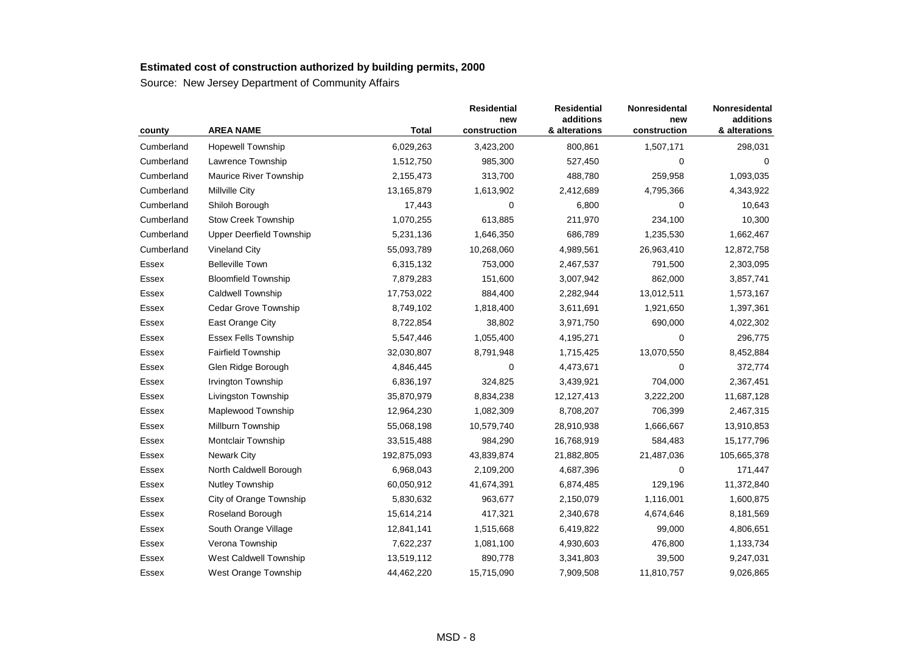| county     | <b>AREA NAME</b>                | <b>Total</b> | <b>Residential</b><br>new<br>construction | <b>Residential</b><br>additions<br>& alterations | Nonresidental<br>new<br>construction | Nonresidental<br>additions<br>& alterations |
|------------|---------------------------------|--------------|-------------------------------------------|--------------------------------------------------|--------------------------------------|---------------------------------------------|
| Cumberland | <b>Hopewell Township</b>        | 6,029,263    | 3,423,200                                 | 800,861                                          | 1,507,171                            | 298,031                                     |
| Cumberland | Lawrence Township               | 1,512,750    | 985,300                                   | 527,450                                          | 0                                    | 0                                           |
| Cumberland | <b>Maurice River Township</b>   | 2,155,473    | 313,700                                   | 488,780                                          | 259,958                              | 1,093,035                                   |
| Cumberland | <b>Millville City</b>           | 13,165,879   | 1,613,902                                 | 2,412,689                                        | 4,795,366                            | 4,343,922                                   |
| Cumberland | Shiloh Borough                  | 17,443       | 0                                         | 6,800                                            | 0                                    | 10,643                                      |
| Cumberland | <b>Stow Creek Township</b>      | 1,070,255    | 613,885                                   | 211,970                                          | 234,100                              | 10,300                                      |
| Cumberland | <b>Upper Deerfield Township</b> | 5,231,136    | 1,646,350                                 | 686,789                                          | 1,235,530                            | 1,662,467                                   |
| Cumberland | Vineland City                   | 55,093,789   | 10,268,060                                | 4,989,561                                        | 26,963,410                           | 12,872,758                                  |
| Essex      | <b>Belleville Town</b>          | 6,315,132    | 753,000                                   | 2,467,537                                        | 791,500                              | 2,303,095                                   |
| Essex      | <b>Bloomfield Township</b>      | 7,879,283    | 151,600                                   | 3,007,942                                        | 862,000                              | 3,857,741                                   |
| Essex      | <b>Caldwell Township</b>        | 17,753,022   | 884,400                                   | 2,282,944                                        | 13,012,511                           | 1,573,167                                   |
| Essex      | Cedar Grove Township            | 8,749,102    | 1,818,400                                 | 3,611,691                                        | 1,921,650                            | 1,397,361                                   |
| Essex      | East Orange City                | 8,722,854    | 38,802                                    | 3,971,750                                        | 690,000                              | 4,022,302                                   |
| Essex      | <b>Essex Fells Township</b>     | 5,547,446    | 1,055,400                                 | 4,195,271                                        | $\mathbf 0$                          | 296,775                                     |
| Essex      | <b>Fairfield Township</b>       | 32,030,807   | 8,791,948                                 | 1,715,425                                        | 13,070,550                           | 8,452,884                                   |
| Essex      | Glen Ridge Borough              | 4,846,445    | 0                                         | 4,473,671                                        | 0                                    | 372,774                                     |
| Essex      | <b>Irvington Township</b>       | 6,836,197    | 324,825                                   | 3,439,921                                        | 704,000                              | 2,367,451                                   |
| Essex      | Livingston Township             | 35,870,979   | 8,834,238                                 | 12,127,413                                       | 3,222,200                            | 11,687,128                                  |
| Essex      | Maplewood Township              | 12,964,230   | 1,082,309                                 | 8,708,207                                        | 706,399                              | 2,467,315                                   |
| Essex      | Millburn Township               | 55,068,198   | 10,579,740                                | 28,910,938                                       | 1,666,667                            | 13,910,853                                  |
| Essex      | <b>Montclair Township</b>       | 33,515,488   | 984,290                                   | 16,768,919                                       | 584,483                              | 15,177,796                                  |
| Essex      | <b>Newark City</b>              | 192,875,093  | 43,839,874                                | 21,882,805                                       | 21,487,036                           | 105,665,378                                 |
| Essex      | North Caldwell Borough          | 6,968,043    | 2,109,200                                 | 4,687,396                                        | 0                                    | 171,447                                     |
| Essex      | <b>Nutley Township</b>          | 60,050,912   | 41,674,391                                | 6,874,485                                        | 129,196                              | 11,372,840                                  |
| Essex      | City of Orange Township         | 5,830,632    | 963,677                                   | 2,150,079                                        | 1,116,001                            | 1,600,875                                   |
| Essex      | Roseland Borough                | 15,614,214   | 417,321                                   | 2,340,678                                        | 4,674,646                            | 8,181,569                                   |
| Essex      | South Orange Village            | 12,841,141   | 1,515,668                                 | 6,419,822                                        | 99,000                               | 4,806,651                                   |
| Essex      | Verona Township                 | 7,622,237    | 1,081,100                                 | 4,930,603                                        | 476,800                              | 1,133,734                                   |
| Essex      | West Caldwell Township          | 13,519,112   | 890,778                                   | 3,341,803                                        | 39,500                               | 9,247,031                                   |
| Essex      | West Orange Township            | 44,462,220   | 15,715,090                                | 7,909,508                                        | 11,810,757                           | 9,026,865                                   |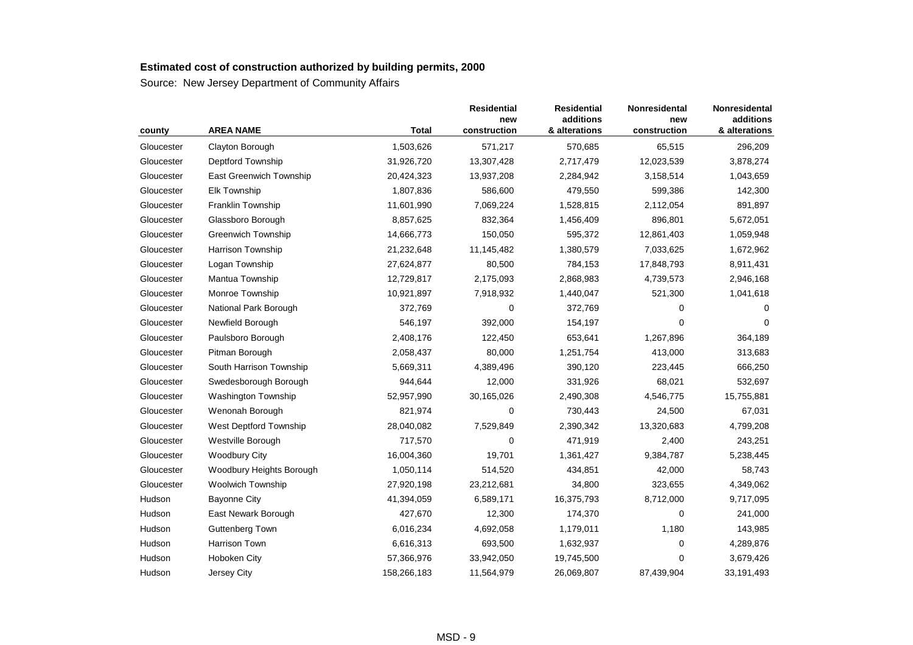| county     | <b>AREA NAME</b>           | <b>Total</b> | <b>Residential</b><br>new<br>construction | <b>Residential</b><br>additions<br>& alterations | Nonresidental<br>new<br>construction | Nonresidental<br>additions<br>& alterations |
|------------|----------------------------|--------------|-------------------------------------------|--------------------------------------------------|--------------------------------------|---------------------------------------------|
| Gloucester | Clayton Borough            | 1,503,626    | 571,217                                   | 570,685                                          | 65,515                               | 296,209                                     |
| Gloucester | <b>Deptford Township</b>   | 31,926,720   | 13,307,428                                | 2,717,479                                        | 12,023,539                           | 3,878,274                                   |
| Gloucester | East Greenwich Township    | 20,424,323   | 13,937,208                                | 2,284,942                                        | 3,158,514                            | 1,043,659                                   |
| Gloucester | <b>Elk Township</b>        | 1,807,836    | 586,600                                   | 479,550                                          | 599,386                              | 142,300                                     |
| Gloucester | Franklin Township          | 11,601,990   | 7,069,224                                 | 1,528,815                                        | 2,112,054                            | 891,897                                     |
| Gloucester | Glassboro Borough          | 8,857,625    | 832,364                                   | 1,456,409                                        | 896,801                              | 5,672,051                                   |
| Gloucester | <b>Greenwich Township</b>  | 14,666,773   | 150,050                                   | 595,372                                          | 12,861,403                           | 1,059,948                                   |
| Gloucester | Harrison Township          | 21,232,648   | 11,145,482                                | 1,380,579                                        | 7,033,625                            | 1,672,962                                   |
| Gloucester | Logan Township             | 27,624,877   | 80,500                                    | 784,153                                          | 17,848,793                           | 8,911,431                                   |
| Gloucester | Mantua Township            | 12,729,817   | 2,175,093                                 | 2,868,983                                        | 4,739,573                            | 2,946,168                                   |
| Gloucester | Monroe Township            | 10,921,897   | 7,918,932                                 | 1,440,047                                        | 521,300                              | 1,041,618                                   |
| Gloucester | National Park Borough      | 372,769      | 0                                         | 372,769                                          | 0                                    | 0                                           |
| Gloucester | Newfield Borough           | 546,197      | 392,000                                   | 154,197                                          | $\mathbf 0$                          | $\Omega$                                    |
| Gloucester | Paulsboro Borough          | 2,408,176    | 122,450                                   | 653,641                                          | 1,267,896                            | 364,189                                     |
| Gloucester | Pitman Borough             | 2,058,437    | 80,000                                    | 1,251,754                                        | 413,000                              | 313,683                                     |
| Gloucester | South Harrison Township    | 5,669,311    | 4,389,496                                 | 390,120                                          | 223,445                              | 666,250                                     |
| Gloucester | Swedesborough Borough      | 944,644      | 12,000                                    | 331,926                                          | 68,021                               | 532,697                                     |
| Gloucester | <b>Washington Township</b> | 52,957,990   | 30,165,026                                | 2,490,308                                        | 4,546,775                            | 15,755,881                                  |
| Gloucester | Wenonah Borough            | 821,974      | 0                                         | 730,443                                          | 24,500                               | 67,031                                      |
| Gloucester | West Deptford Township     | 28,040,082   | 7,529,849                                 | 2,390,342                                        | 13,320,683                           | 4,799,208                                   |
| Gloucester | Westville Borough          | 717,570      | 0                                         | 471,919                                          | 2,400                                | 243,251                                     |
| Gloucester | <b>Woodbury City</b>       | 16,004,360   | 19,701                                    | 1,361,427                                        | 9,384,787                            | 5,238,445                                   |
| Gloucester | Woodbury Heights Borough   | 1,050,114    | 514,520                                   | 434,851                                          | 42,000                               | 58,743                                      |
| Gloucester | <b>Woolwich Township</b>   | 27,920,198   | 23,212,681                                | 34,800                                           | 323,655                              | 4,349,062                                   |
| Hudson     | <b>Bayonne City</b>        | 41,394,059   | 6,589,171                                 | 16,375,793                                       | 8,712,000                            | 9,717,095                                   |
| Hudson     | East Newark Borough        | 427,670      | 12,300                                    | 174,370                                          | $\mathbf 0$                          | 241,000                                     |
| Hudson     | <b>Guttenberg Town</b>     | 6,016,234    | 4,692,058                                 | 1,179,011                                        | 1,180                                | 143,985                                     |
| Hudson     | <b>Harrison Town</b>       | 6,616,313    | 693,500                                   | 1,632,937                                        | 0                                    | 4,289,876                                   |
| Hudson     | Hoboken City               | 57,366,976   | 33,942,050                                | 19,745,500                                       | 0                                    | 3,679,426                                   |
| Hudson     | Jersey City                | 158,266,183  | 11,564,979                                | 26,069,807                                       | 87,439,904                           | 33,191,493                                  |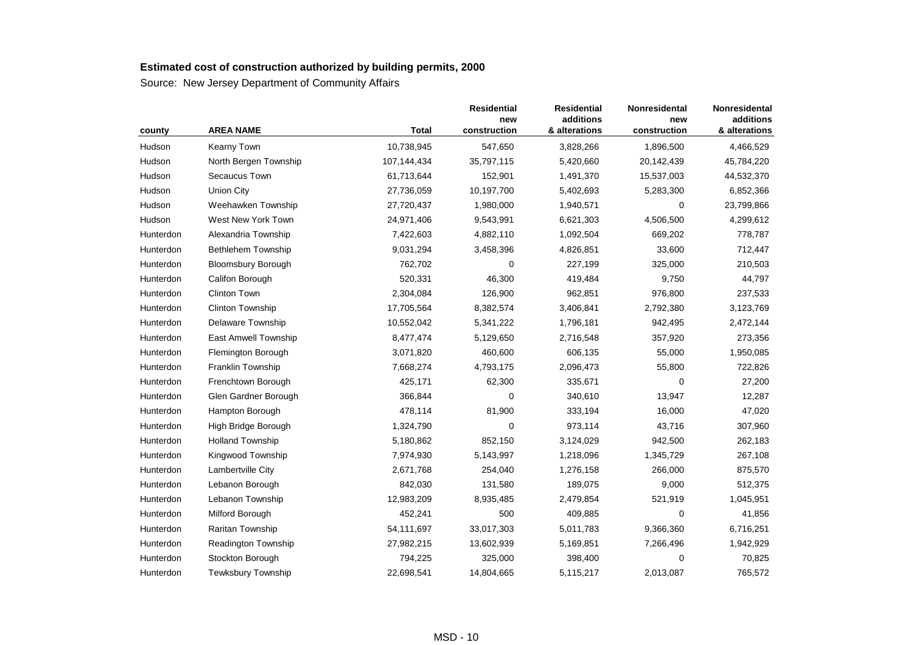| county    | <b>AREA NAME</b>           | <b>Total</b> | <b>Residential</b><br>new<br>construction | <b>Residential</b><br>additions<br>& alterations | Nonresidental<br>new<br>construction | Nonresidental<br>additions<br>& alterations |
|-----------|----------------------------|--------------|-------------------------------------------|--------------------------------------------------|--------------------------------------|---------------------------------------------|
| Hudson    | Kearny Town                | 10,738,945   | 547,650                                   | 3,828,266                                        | 1,896,500                            | 4,466,529                                   |
| Hudson    | North Bergen Township      | 107,144,434  | 35,797,115                                | 5,420,660                                        | 20,142,439                           | 45,784,220                                  |
| Hudson    | Secaucus Town              | 61,713,644   | 152,901                                   | 1,491,370                                        | 15,537,003                           | 44,532,370                                  |
| Hudson    | <b>Union City</b>          | 27,736,059   | 10,197,700                                | 5,402,693                                        | 5,283,300                            | 6,852,366                                   |
| Hudson    | Weehawken Township         | 27,720,437   | 1,980,000                                 | 1,940,571                                        | 0                                    | 23,799,866                                  |
| Hudson    | West New York Town         | 24,971,406   | 9,543,991                                 | 6,621,303                                        | 4,506,500                            | 4,299,612                                   |
| Hunterdon | Alexandria Township        | 7,422,603    | 4,882,110                                 | 1,092,504                                        | 669,202                              | 778,787                                     |
| Hunterdon | Bethlehem Township         | 9,031,294    | 3,458,396                                 | 4,826,851                                        | 33,600                               | 712,447                                     |
| Hunterdon | <b>Bloomsbury Borough</b>  | 762,702      | $\Omega$                                  | 227,199                                          | 325,000                              | 210,503                                     |
| Hunterdon | Califon Borough            | 520,331      | 46,300                                    | 419,484                                          | 9,750                                | 44,797                                      |
| Hunterdon | Clinton Town               | 2,304,084    | 126,900                                   | 962,851                                          | 976,800                              | 237,533                                     |
| Hunterdon | <b>Clinton Township</b>    | 17,705,564   | 8,382,574                                 | 3,406,841                                        | 2,792,380                            | 3,123,769                                   |
| Hunterdon | Delaware Township          | 10,552,042   | 5,341,222                                 | 1,796,181                                        | 942,495                              | 2,472,144                                   |
| Hunterdon | East Amwell Township       | 8,477,474    | 5,129,650                                 | 2,716,548                                        | 357,920                              | 273,356                                     |
| Hunterdon | Flemington Borough         | 3,071,820    | 460,600                                   | 606,135                                          | 55,000                               | 1,950,085                                   |
| Hunterdon | <b>Franklin Township</b>   | 7,668,274    | 4,793,175                                 | 2,096,473                                        | 55,800                               | 722,826                                     |
| Hunterdon | Frenchtown Borough         | 425,171      | 62,300                                    | 335,671                                          | 0                                    | 27,200                                      |
| Hunterdon | Glen Gardner Borough       | 366,844      | 0                                         | 340,610                                          | 13,947                               | 12,287                                      |
| Hunterdon | Hampton Borough            | 478,114      | 81,900                                    | 333,194                                          | 16,000                               | 47,020                                      |
| Hunterdon | High Bridge Borough        | 1,324,790    | 0                                         | 973,114                                          | 43,716                               | 307,960                                     |
| Hunterdon | <b>Holland Township</b>    | 5,180,862    | 852,150                                   | 3,124,029                                        | 942,500                              | 262,183                                     |
| Hunterdon | Kingwood Township          | 7,974,930    | 5,143,997                                 | 1,218,096                                        | 1,345,729                            | 267,108                                     |
| Hunterdon | Lambertville City          | 2,671,768    | 254,040                                   | 1,276,158                                        | 266,000                              | 875,570                                     |
| Hunterdon | Lebanon Borough            | 842,030      | 131,580                                   | 189,075                                          | 9,000                                | 512,375                                     |
| Hunterdon | Lebanon Township           | 12,983,209   | 8,935,485                                 | 2,479,854                                        | 521,919                              | 1,045,951                                   |
| Hunterdon | Milford Borough            | 452,241      | 500                                       | 409,885                                          | $\mathbf 0$                          | 41,856                                      |
| Hunterdon | Raritan Township           | 54,111,697   | 33,017,303                                | 5,011,783                                        | 9,366,360                            | 6,716,251                                   |
| Hunterdon | <b>Readington Township</b> | 27,982,215   | 13,602,939                                | 5,169,851                                        | 7,266,496                            | 1,942,929                                   |
| Hunterdon | Stockton Borough           | 794,225      | 325,000                                   | 398,400                                          | 0                                    | 70,825                                      |
| Hunterdon | <b>Tewksbury Township</b>  | 22,698,541   | 14,804,665                                | 5,115,217                                        | 2,013,087                            | 765,572                                     |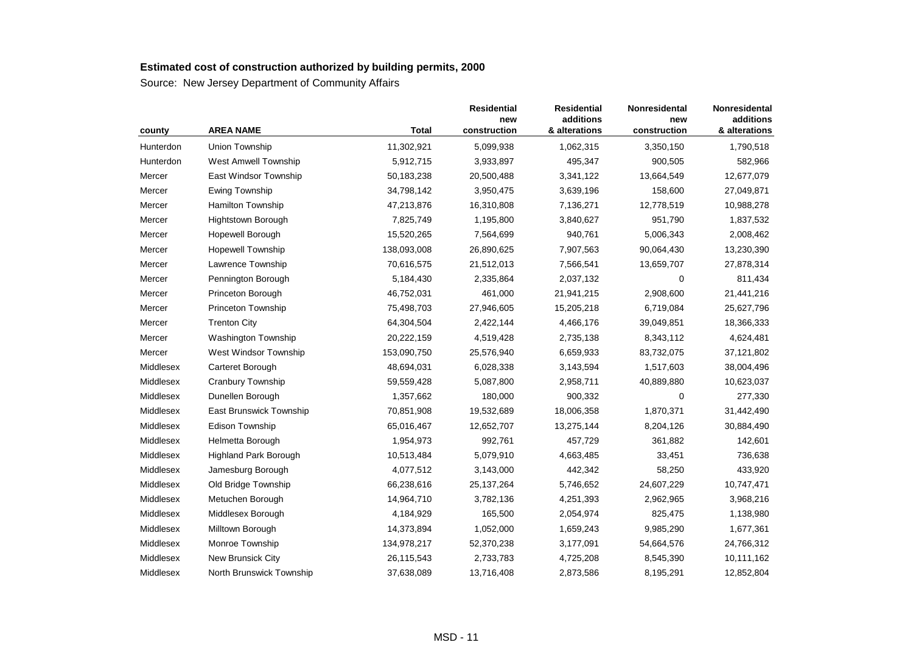| county    | <b>AREA NAME</b>             | <b>Total</b> | <b>Residential</b><br>new<br>construction | <b>Residential</b><br>additions<br>& alterations | <b>Nonresidental</b><br>new<br>construction | Nonresidental<br>additions<br>& alterations |
|-----------|------------------------------|--------------|-------------------------------------------|--------------------------------------------------|---------------------------------------------|---------------------------------------------|
| Hunterdon | <b>Union Township</b>        | 11,302,921   | 5,099,938                                 | 1,062,315                                        | 3,350,150                                   | 1,790,518                                   |
| Hunterdon | West Amwell Township         | 5,912,715    | 3,933,897                                 | 495,347                                          | 900,505                                     | 582,966                                     |
| Mercer    | East Windsor Township        | 50,183,238   | 20,500,488                                | 3,341,122                                        | 13,664,549                                  | 12,677,079                                  |
| Mercer    | <b>Ewing Township</b>        | 34,798,142   | 3,950,475                                 | 3,639,196                                        | 158,600                                     | 27,049,871                                  |
| Mercer    | <b>Hamilton Township</b>     | 47,213,876   | 16,310,808                                | 7,136,271                                        | 12,778,519                                  | 10,988,278                                  |
| Mercer    | <b>Hightstown Borough</b>    | 7,825,749    | 1,195,800                                 | 3,840,627                                        | 951,790                                     | 1,837,532                                   |
| Mercer    | Hopewell Borough             | 15,520,265   | 7,564,699                                 | 940,761                                          | 5,006,343                                   | 2,008,462                                   |
| Mercer    | <b>Hopewell Township</b>     | 138,093,008  | 26,890,625                                | 7,907,563                                        | 90,064,430                                  | 13,230,390                                  |
| Mercer    | Lawrence Township            | 70,616,575   | 21,512,013                                | 7,566,541                                        | 13,659,707                                  | 27,878,314                                  |
| Mercer    | Pennington Borough           | 5,184,430    | 2,335,864                                 | 2,037,132                                        | 0                                           | 811,434                                     |
| Mercer    | Princeton Borough            | 46,752,031   | 461,000                                   | 21,941,215                                       | 2,908,600                                   | 21,441,216                                  |
| Mercer    | Princeton Township           | 75,498,703   | 27,946,605                                | 15,205,218                                       | 6,719,084                                   | 25,627,796                                  |
| Mercer    | <b>Trenton City</b>          | 64,304,504   | 2,422,144                                 | 4,466,176                                        | 39,049,851                                  | 18,366,333                                  |
| Mercer    | Washington Township          | 20,222,159   | 4,519,428                                 | 2,735,138                                        | 8,343,112                                   | 4,624,481                                   |
| Mercer    | West Windsor Township        | 153,090,750  | 25,576,940                                | 6,659,933                                        | 83,732,075                                  | 37,121,802                                  |
| Middlesex | Carteret Borough             | 48,694,031   | 6,028,338                                 | 3,143,594                                        | 1,517,603                                   | 38,004,496                                  |
| Middlesex | Cranbury Township            | 59,559,428   | 5,087,800                                 | 2,958,711                                        | 40,889,880                                  | 10,623,037                                  |
| Middlesex | Dunellen Borough             | 1,357,662    | 180,000                                   | 900,332                                          | 0                                           | 277,330                                     |
| Middlesex | East Brunswick Township      | 70,851,908   | 19,532,689                                | 18,006,358                                       | 1,870,371                                   | 31,442,490                                  |
| Middlesex | Edison Township              | 65,016,467   | 12,652,707                                | 13,275,144                                       | 8,204,126                                   | 30,884,490                                  |
| Middlesex | Helmetta Borough             | 1,954,973    | 992,761                                   | 457,729                                          | 361,882                                     | 142,601                                     |
| Middlesex | <b>Highland Park Borough</b> | 10,513,484   | 5,079,910                                 | 4,663,485                                        | 33,451                                      | 736,638                                     |
| Middlesex | Jamesburg Borough            | 4,077,512    | 3,143,000                                 | 442,342                                          | 58,250                                      | 433,920                                     |
| Middlesex | Old Bridge Township          | 66,238,616   | 25, 137, 264                              | 5,746,652                                        | 24,607,229                                  | 10,747,471                                  |
| Middlesex | Metuchen Borough             | 14,964,710   | 3,782,136                                 | 4,251,393                                        | 2,962,965                                   | 3,968,216                                   |
| Middlesex | Middlesex Borough            | 4,184,929    | 165,500                                   | 2,054,974                                        | 825,475                                     | 1,138,980                                   |
| Middlesex | Milltown Borough             | 14,373,894   | 1,052,000                                 | 1,659,243                                        | 9,985,290                                   | 1,677,361                                   |
| Middlesex | Monroe Township              | 134,978,217  | 52,370,238                                | 3,177,091                                        | 54,664,576                                  | 24,766,312                                  |
| Middlesex | New Brunsick City            | 26,115,543   | 2,733,783                                 | 4,725,208                                        | 8,545,390                                   | 10,111,162                                  |
| Middlesex | North Brunswick Township     | 37,638,089   | 13,716,408                                | 2,873,586                                        | 8,195,291                                   | 12,852,804                                  |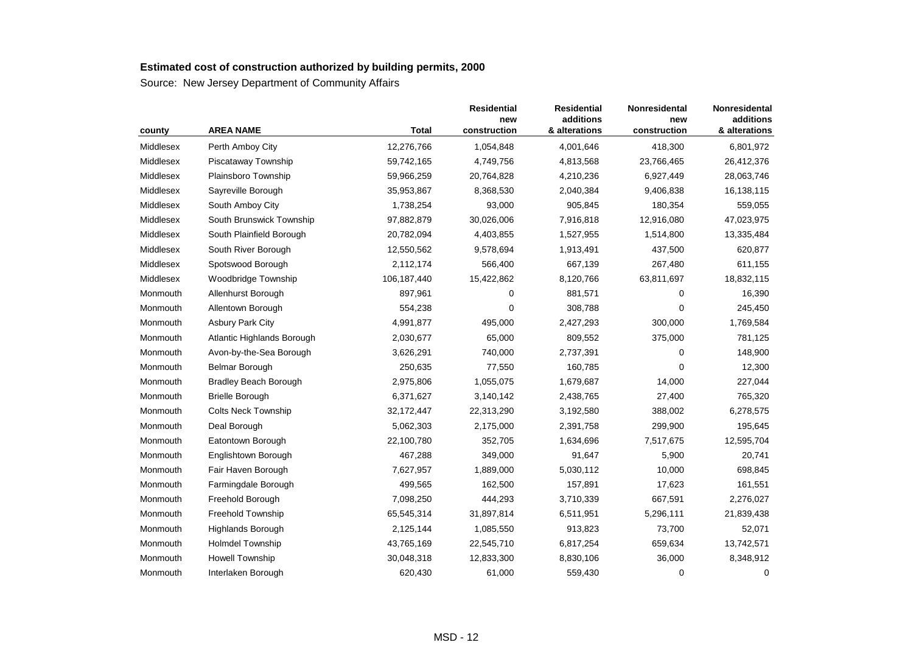| county    | <b>AREA NAME</b>             | <b>Total</b> | <b>Residential</b><br>new<br>construction | <b>Residential</b><br>additions<br>& alterations | <b>Nonresidental</b><br>new<br>construction | Nonresidental<br>additions<br>& alterations |
|-----------|------------------------------|--------------|-------------------------------------------|--------------------------------------------------|---------------------------------------------|---------------------------------------------|
| Middlesex | Perth Amboy City             | 12,276,766   | 1,054,848                                 | 4,001,646                                        | 418,300                                     | 6,801,972                                   |
| Middlesex | Piscataway Township          | 59,742,165   | 4,749,756                                 | 4,813,568                                        | 23,766,465                                  | 26,412,376                                  |
| Middlesex | Plainsboro Township          | 59,966,259   | 20,764,828                                | 4,210,236                                        | 6,927,449                                   | 28,063,746                                  |
| Middlesex | Sayreville Borough           | 35,953,867   | 8,368,530                                 | 2,040,384                                        | 9,406,838                                   | 16,138,115                                  |
| Middlesex | South Amboy City             | 1,738,254    | 93,000                                    | 905,845                                          | 180,354                                     | 559,055                                     |
| Middlesex | South Brunswick Township     | 97,882,879   | 30,026,006                                | 7,916,818                                        | 12,916,080                                  | 47,023,975                                  |
| Middlesex | South Plainfield Borough     | 20,782,094   | 4,403,855                                 | 1,527,955                                        | 1,514,800                                   | 13,335,484                                  |
| Middlesex | South River Borough          | 12,550,562   | 9,578,694                                 | 1,913,491                                        | 437,500                                     | 620,877                                     |
| Middlesex | Spotswood Borough            | 2,112,174    | 566,400                                   | 667,139                                          | 267,480                                     | 611,155                                     |
| Middlesex | Woodbridge Township          | 106,187,440  | 15,422,862                                | 8,120,766                                        | 63,811,697                                  | 18,832,115                                  |
| Monmouth  | Allenhurst Borough           | 897,961      | 0                                         | 881,571                                          | 0                                           | 16,390                                      |
| Monmouth  | Allentown Borough            | 554,238      | 0                                         | 308,788                                          | 0                                           | 245,450                                     |
| Monmouth  | <b>Asbury Park City</b>      | 4,991,877    | 495,000                                   | 2,427,293                                        | 300,000                                     | 1,769,584                                   |
| Monmouth  | Atlantic Highlands Borough   | 2,030,677    | 65,000                                    | 809,552                                          | 375,000                                     | 781,125                                     |
| Monmouth  | Avon-by-the-Sea Borough      | 3,626,291    | 740,000                                   | 2,737,391                                        | 0                                           | 148,900                                     |
| Monmouth  | <b>Belmar Borough</b>        | 250,635      | 77,550                                    | 160,785                                          | 0                                           | 12,300                                      |
| Monmouth  | <b>Bradley Beach Borough</b> | 2,975,806    | 1,055,075                                 | 1,679,687                                        | 14,000                                      | 227,044                                     |
| Monmouth  | <b>Brielle Borough</b>       | 6,371,627    | 3,140,142                                 | 2,438,765                                        | 27,400                                      | 765,320                                     |
| Monmouth  | <b>Colts Neck Township</b>   | 32,172,447   | 22,313,290                                | 3,192,580                                        | 388,002                                     | 6,278,575                                   |
| Monmouth  | Deal Borough                 | 5,062,303    | 2,175,000                                 | 2,391,758                                        | 299,900                                     | 195,645                                     |
| Monmouth  | Eatontown Borough            | 22,100,780   | 352,705                                   | 1,634,696                                        | 7,517,675                                   | 12,595,704                                  |
| Monmouth  | Englishtown Borough          | 467,288      | 349,000                                   | 91,647                                           | 5,900                                       | 20,741                                      |
| Monmouth  | Fair Haven Borough           | 7,627,957    | 1,889,000                                 | 5,030,112                                        | 10,000                                      | 698,845                                     |
| Monmouth  | Farmingdale Borough          | 499,565      | 162,500                                   | 157,891                                          | 17,623                                      | 161,551                                     |
| Monmouth  | Freehold Borough             | 7,098,250    | 444,293                                   | 3,710,339                                        | 667,591                                     | 2,276,027                                   |
| Monmouth  | Freehold Township            | 65,545,314   | 31,897,814                                | 6,511,951                                        | 5,296,111                                   | 21,839,438                                  |
| Monmouth  | Highlands Borough            | 2,125,144    | 1,085,550                                 | 913,823                                          | 73,700                                      | 52,071                                      |
| Monmouth  | <b>Holmdel Township</b>      | 43,765,169   | 22,545,710                                | 6,817,254                                        | 659,634                                     | 13,742,571                                  |
| Monmouth  | <b>Howell Township</b>       | 30,048,318   | 12,833,300                                | 8,830,106                                        | 36,000                                      | 8,348,912                                   |
| Monmouth  | Interlaken Borough           | 620,430      | 61,000                                    | 559,430                                          | 0                                           | $\mathbf 0$                                 |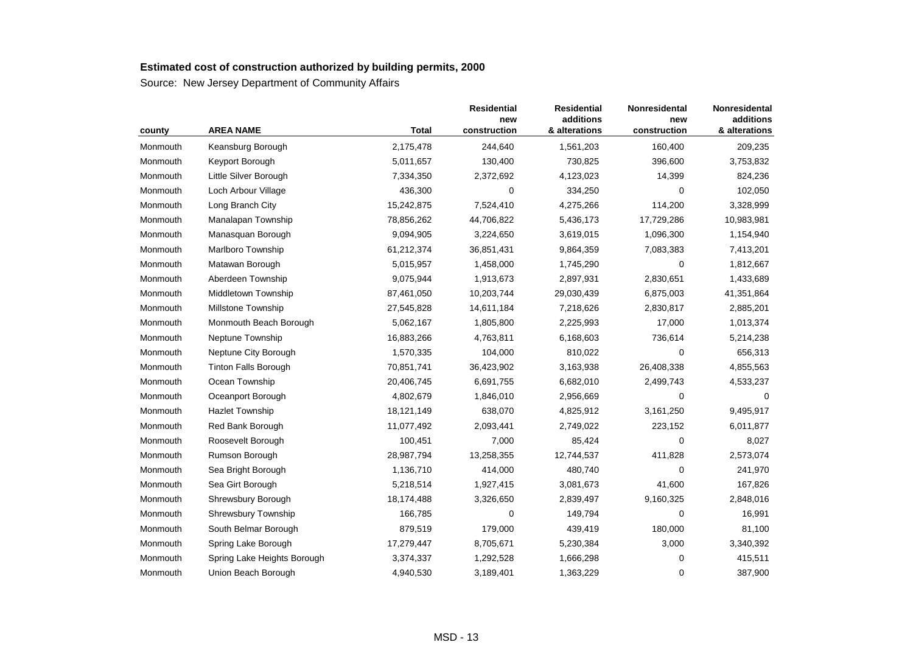| county   | <b>AREA NAME</b>            | <b>Total</b> | <b>Residential</b><br>new<br>construction | <b>Residential</b><br>additions<br>& alterations | Nonresidental<br>new<br>construction | Nonresidental<br>additions<br>& alterations |
|----------|-----------------------------|--------------|-------------------------------------------|--------------------------------------------------|--------------------------------------|---------------------------------------------|
| Monmouth | Keansburg Borough           | 2,175,478    | 244,640                                   | 1,561,203                                        | 160,400                              | 209,235                                     |
| Monmouth | Keyport Borough             | 5,011,657    | 130,400                                   | 730,825                                          | 396,600                              | 3,753,832                                   |
| Monmouth | Little Silver Borough       | 7,334,350    | 2,372,692                                 | 4,123,023                                        | 14,399                               | 824,236                                     |
| Monmouth | Loch Arbour Village         | 436,300      | 0                                         | 334,250                                          | 0                                    | 102,050                                     |
| Monmouth | Long Branch City            | 15,242,875   | 7,524,410                                 | 4,275,266                                        | 114,200                              | 3,328,999                                   |
| Monmouth | Manalapan Township          | 78,856,262   | 44,706,822                                | 5,436,173                                        | 17,729,286                           | 10,983,981                                  |
| Monmouth | Manasquan Borough           | 9,094,905    | 3,224,650                                 | 3,619,015                                        | 1,096,300                            | 1,154,940                                   |
| Monmouth | Marlboro Township           | 61,212,374   | 36,851,431                                | 9,864,359                                        | 7,083,383                            | 7,413,201                                   |
| Monmouth | Matawan Borough             | 5,015,957    | 1,458,000                                 | 1,745,290                                        | 0                                    | 1,812,667                                   |
| Monmouth | Aberdeen Township           | 9,075,944    | 1,913,673                                 | 2,897,931                                        | 2,830,651                            | 1,433,689                                   |
| Monmouth | Middletown Township         | 87,461,050   | 10,203,744                                | 29,030,439                                       | 6,875,003                            | 41,351,864                                  |
| Monmouth | Millstone Township          | 27,545,828   | 14,611,184                                | 7,218,626                                        | 2,830,817                            | 2,885,201                                   |
| Monmouth | Monmouth Beach Borough      | 5,062,167    | 1,805,800                                 | 2,225,993                                        | 17,000                               | 1,013,374                                   |
| Monmouth | Neptune Township            | 16,883,266   | 4,763,811                                 | 6,168,603                                        | 736,614                              | 5,214,238                                   |
| Monmouth | Neptune City Borough        | 1,570,335    | 104,000                                   | 810,022                                          | $\Omega$                             | 656,313                                     |
| Monmouth | <b>Tinton Falls Borough</b> | 70,851,741   | 36,423,902                                | 3,163,938                                        | 26,408,338                           | 4,855,563                                   |
| Monmouth | Ocean Township              | 20,406,745   | 6,691,755                                 | 6,682,010                                        | 2,499,743                            | 4,533,237                                   |
| Monmouth | Oceanport Borough           | 4,802,679    | 1,846,010                                 | 2,956,669                                        | 0                                    | 0                                           |
| Monmouth | <b>Hazlet Township</b>      | 18,121,149   | 638,070                                   | 4,825,912                                        | 3,161,250                            | 9,495,917                                   |
| Monmouth | Red Bank Borough            | 11,077,492   | 2,093,441                                 | 2,749,022                                        | 223,152                              | 6,011,877                                   |
| Monmouth | Roosevelt Borough           | 100,451      | 7,000                                     | 85,424                                           | 0                                    | 8,027                                       |
| Monmouth | Rumson Borough              | 28,987,794   | 13,258,355                                | 12,744,537                                       | 411,828                              | 2,573,074                                   |
| Monmouth | Sea Bright Borough          | 1,136,710    | 414,000                                   | 480,740                                          | 0                                    | 241,970                                     |
| Monmouth | Sea Girt Borough            | 5,218,514    | 1,927,415                                 | 3,081,673                                        | 41,600                               | 167,826                                     |
| Monmouth | Shrewsbury Borough          | 18,174,488   | 3,326,650                                 | 2,839,497                                        | 9,160,325                            | 2,848,016                                   |
| Monmouth | <b>Shrewsbury Township</b>  | 166,785      | 0                                         | 149,794                                          | 0                                    | 16,991                                      |
| Monmouth | South Belmar Borough        | 879,519      | 179,000                                   | 439,419                                          | 180,000                              | 81,100                                      |
| Monmouth | Spring Lake Borough         | 17,279,447   | 8,705,671                                 | 5,230,384                                        | 3,000                                | 3,340,392                                   |
| Monmouth | Spring Lake Heights Borough | 3,374,337    | 1,292,528                                 | 1,666,298                                        | 0                                    | 415,511                                     |
| Monmouth | Union Beach Borough         | 4,940,530    | 3,189,401                                 | 1,363,229                                        | 0                                    | 387,900                                     |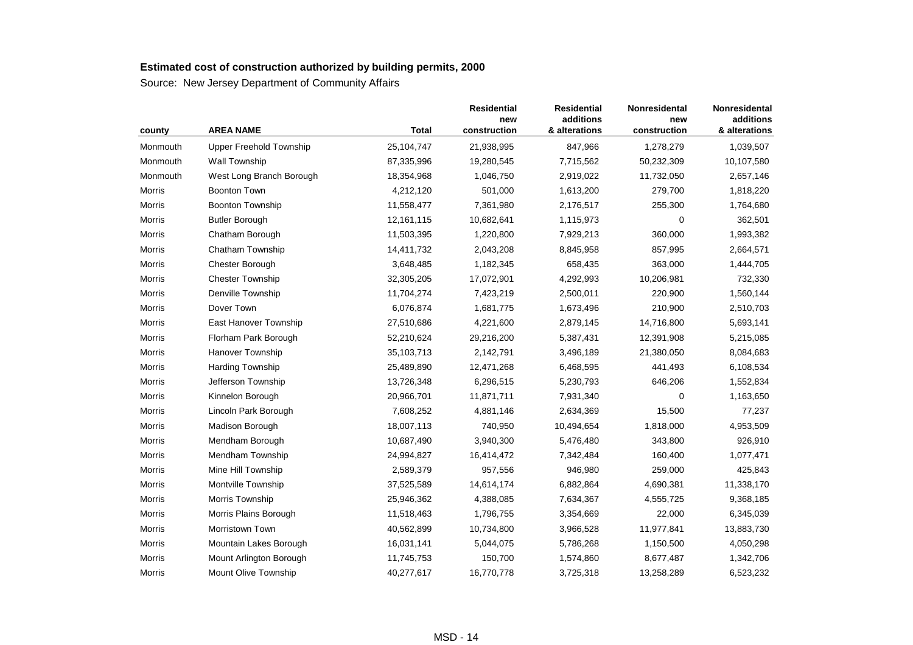| county   | <b>AREA NAME</b>               | <b>Total</b> | <b>Residential</b><br>new<br>construction | <b>Residential</b><br>additions<br>& alterations | Nonresidental<br>new<br>construction | Nonresidental<br>additions<br>& alterations |
|----------|--------------------------------|--------------|-------------------------------------------|--------------------------------------------------|--------------------------------------|---------------------------------------------|
| Monmouth | <b>Upper Freehold Township</b> | 25,104,747   | 21,938,995                                | 847,966                                          | 1,278,279                            | 1,039,507                                   |
| Monmouth | Wall Township                  | 87,335,996   | 19,280,545                                | 7,715,562                                        | 50,232,309                           | 10,107,580                                  |
| Monmouth | West Long Branch Borough       | 18,354,968   | 1,046,750                                 | 2,919,022                                        | 11,732,050                           | 2,657,146                                   |
| Morris   | <b>Boonton Town</b>            | 4,212,120    | 501,000                                   | 1,613,200                                        | 279,700                              | 1,818,220                                   |
| Morris   | <b>Boonton Township</b>        | 11,558,477   | 7,361,980                                 | 2,176,517                                        | 255,300                              | 1,764,680                                   |
| Morris   | <b>Butler Borough</b>          | 12,161,115   | 10,682,641                                | 1,115,973                                        | 0                                    | 362,501                                     |
| Morris   | Chatham Borough                | 11,503,395   | 1,220,800                                 | 7,929,213                                        | 360,000                              | 1,993,382                                   |
| Morris   | Chatham Township               | 14,411,732   | 2,043,208                                 | 8,845,958                                        | 857,995                              | 2,664,571                                   |
| Morris   | Chester Borough                | 3,648,485    | 1,182,345                                 | 658,435                                          | 363,000                              | 1,444,705                                   |
| Morris   | <b>Chester Township</b>        | 32,305,205   | 17,072,901                                | 4,292,993                                        | 10,206,981                           | 732,330                                     |
| Morris   | Denville Township              | 11,704,274   | 7,423,219                                 | 2,500,011                                        | 220,900                              | 1,560,144                                   |
| Morris   | Dover Town                     | 6,076,874    | 1,681,775                                 | 1,673,496                                        | 210,900                              | 2,510,703                                   |
| Morris   | East Hanover Township          | 27,510,686   | 4,221,600                                 | 2,879,145                                        | 14,716,800                           | 5,693,141                                   |
| Morris   | Florham Park Borough           | 52,210,624   | 29,216,200                                | 5,387,431                                        | 12,391,908                           | 5,215,085                                   |
| Morris   | Hanover Township               | 35,103,713   | 2,142,791                                 | 3,496,189                                        | 21,380,050                           | 8,084,683                                   |
| Morris   | <b>Harding Township</b>        | 25,489,890   | 12,471,268                                | 6,468,595                                        | 441,493                              | 6,108,534                                   |
| Morris   | Jefferson Township             | 13,726,348   | 6,296,515                                 | 5,230,793                                        | 646,206                              | 1,552,834                                   |
| Morris   | Kinnelon Borough               | 20,966,701   | 11,871,711                                | 7,931,340                                        | 0                                    | 1,163,650                                   |
| Morris   | Lincoln Park Borough           | 7,608,252    | 4,881,146                                 | 2,634,369                                        | 15,500                               | 77,237                                      |
| Morris   | Madison Borough                | 18,007,113   | 740,950                                   | 10,494,654                                       | 1,818,000                            | 4,953,509                                   |
| Morris   | Mendham Borough                | 10,687,490   | 3,940,300                                 | 5,476,480                                        | 343,800                              | 926,910                                     |
| Morris   | Mendham Township               | 24,994,827   | 16,414,472                                | 7,342,484                                        | 160,400                              | 1,077,471                                   |
| Morris   | Mine Hill Township             | 2,589,379    | 957,556                                   | 946,980                                          | 259,000                              | 425,843                                     |
| Morris   | Montville Township             | 37,525,589   | 14,614,174                                | 6,882,864                                        | 4,690,381                            | 11,338,170                                  |
| Morris   | Morris Township                | 25,946,362   | 4,388,085                                 | 7,634,367                                        | 4,555,725                            | 9,368,185                                   |
| Morris   | Morris Plains Borough          | 11,518,463   | 1,796,755                                 | 3,354,669                                        | 22,000                               | 6,345,039                                   |
| Morris   | <b>Morristown Town</b>         | 40,562,899   | 10,734,800                                | 3,966,528                                        | 11,977,841                           | 13,883,730                                  |
| Morris   | Mountain Lakes Borough         | 16,031,141   | 5,044,075                                 | 5,786,268                                        | 1,150,500                            | 4,050,298                                   |
| Morris   | Mount Arlington Borough        | 11,745,753   | 150,700                                   | 1,574,860                                        | 8,677,487                            | 1,342,706                                   |
| Morris   | Mount Olive Township           | 40,277,617   | 16,770,778                                | 3,725,318                                        | 13,258,289                           | 6,523,232                                   |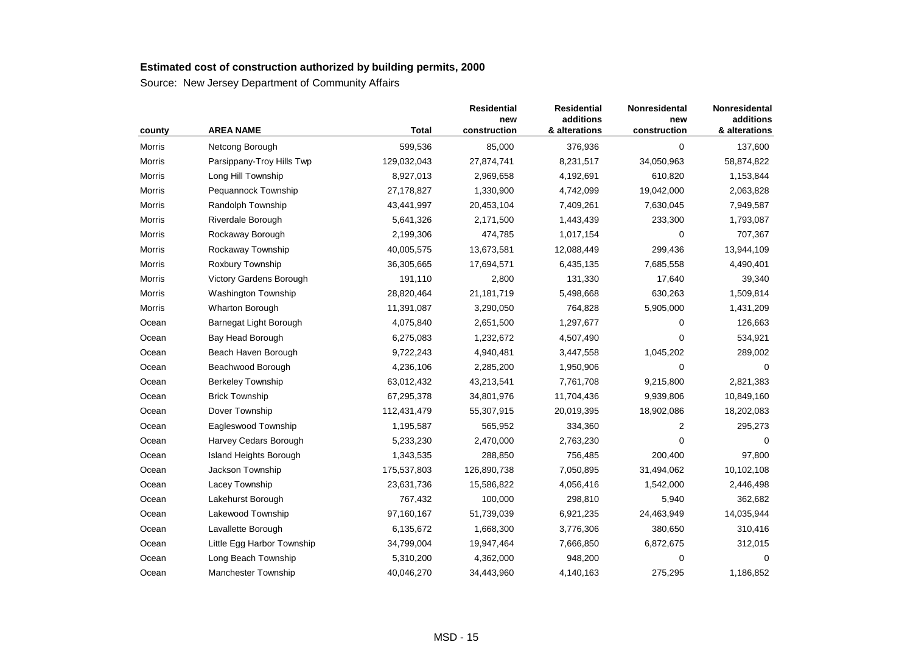| county | <b>AREA NAME</b>           | <b>Total</b> | <b>Residential</b><br>new<br>construction | <b>Residential</b><br>additions<br>& alterations | Nonresidental<br>new<br>construction | Nonresidental<br>additions<br>& alterations |
|--------|----------------------------|--------------|-------------------------------------------|--------------------------------------------------|--------------------------------------|---------------------------------------------|
| Morris | Netcong Borough            | 599,536      | 85,000                                    | 376,936                                          | $\pmb{0}$                            | 137,600                                     |
| Morris | Parsippany-Troy Hills Twp  | 129,032,043  | 27,874,741                                | 8,231,517                                        | 34,050,963                           | 58,874,822                                  |
| Morris | Long Hill Township         | 8,927,013    | 2,969,658                                 | 4,192,691                                        | 610,820                              | 1,153,844                                   |
| Morris | Pequannock Township        | 27,178,827   | 1,330,900                                 | 4,742,099                                        | 19,042,000                           | 2,063,828                                   |
| Morris | Randolph Township          | 43,441,997   | 20,453,104                                | 7,409,261                                        | 7,630,045                            | 7,949,587                                   |
| Morris | Riverdale Borough          | 5,641,326    | 2,171,500                                 | 1,443,439                                        | 233,300                              | 1,793,087                                   |
| Morris | Rockaway Borough           | 2,199,306    | 474,785                                   | 1,017,154                                        | 0                                    | 707,367                                     |
| Morris | Rockaway Township          | 40,005,575   | 13,673,581                                | 12,088,449                                       | 299,436                              | 13,944,109                                  |
| Morris | Roxbury Township           | 36,305,665   | 17,694,571                                | 6,435,135                                        | 7,685,558                            | 4,490,401                                   |
| Morris | Victory Gardens Borough    | 191,110      | 2,800                                     | 131,330                                          | 17,640                               | 39,340                                      |
| Morris | <b>Washington Township</b> | 28,820,464   | 21,181,719                                | 5,498,668                                        | 630,263                              | 1,509,814                                   |
| Morris | Wharton Borough            | 11,391,087   | 3,290,050                                 | 764,828                                          | 5,905,000                            | 1,431,209                                   |
| Ocean  | Barnegat Light Borough     | 4,075,840    | 2,651,500                                 | 1,297,677                                        | 0                                    | 126,663                                     |
| Ocean  | Bay Head Borough           | 6,275,083    | 1,232,672                                 | 4,507,490                                        | 0                                    | 534,921                                     |
| Ocean  | Beach Haven Borough        | 9,722,243    | 4,940,481                                 | 3,447,558                                        | 1,045,202                            | 289,002                                     |
| Ocean  | Beachwood Borough          | 4,236,106    | 2,285,200                                 | 1,950,906                                        | 0                                    | $\Omega$                                    |
| Ocean  | <b>Berkeley Township</b>   | 63,012,432   | 43,213,541                                | 7,761,708                                        | 9,215,800                            | 2,821,383                                   |
| Ocean  | <b>Brick Township</b>      | 67,295,378   | 34,801,976                                | 11,704,436                                       | 9,939,806                            | 10,849,160                                  |
| Ocean  | Dover Township             | 112,431,479  | 55,307,915                                | 20,019,395                                       | 18,902,086                           | 18,202,083                                  |
| Ocean  | Eagleswood Township        | 1,195,587    | 565,952                                   | 334,360                                          | 2                                    | 295,273                                     |
| Ocean  | Harvey Cedars Borough      | 5,233,230    | 2,470,000                                 | 2,763,230                                        | 0                                    | 0                                           |
| Ocean  | Island Heights Borough     | 1,343,535    | 288,850                                   | 756,485                                          | 200,400                              | 97,800                                      |
| Ocean  | Jackson Township           | 175,537,803  | 126,890,738                               | 7,050,895                                        | 31,494,062                           | 10,102,108                                  |
| Ocean  | Lacey Township             | 23,631,736   | 15,586,822                                | 4,056,416                                        | 1,542,000                            | 2,446,498                                   |
| Ocean  | Lakehurst Borough          | 767,432      | 100,000                                   | 298,810                                          | 5,940                                | 362,682                                     |
| Ocean  | Lakewood Township          | 97,160,167   | 51,739,039                                | 6,921,235                                        | 24,463,949                           | 14,035,944                                  |
| Ocean  | Lavallette Borough         | 6,135,672    | 1,668,300                                 | 3,776,306                                        | 380,650                              | 310,416                                     |
| Ocean  | Little Egg Harbor Township | 34,799,004   | 19,947,464                                | 7,666,850                                        | 6,872,675                            | 312,015                                     |
| Ocean  | Long Beach Township        | 5,310,200    | 4,362,000                                 | 948,200                                          | 0                                    | $\Omega$                                    |
| Ocean  | Manchester Township        | 40,046,270   | 34,443,960                                | 4,140,163                                        | 275,295                              | 1,186,852                                   |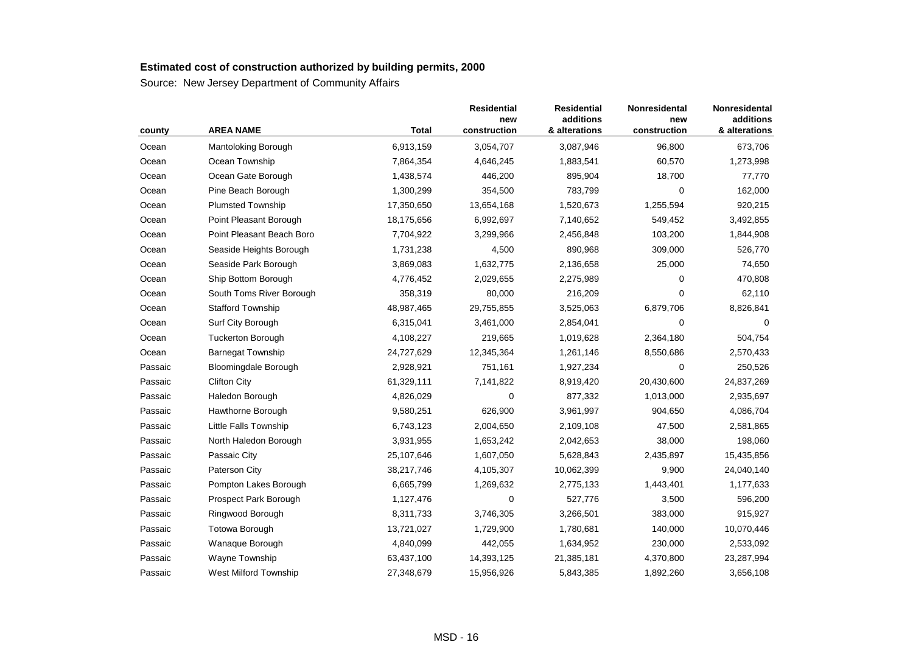| county  | <b>AREA NAME</b>          | <b>Total</b> | <b>Residential</b><br>new<br>construction | <b>Residential</b><br>additions<br>& alterations | Nonresidental<br>new<br>construction | Nonresidental<br>additions<br>& alterations |
|---------|---------------------------|--------------|-------------------------------------------|--------------------------------------------------|--------------------------------------|---------------------------------------------|
| Ocean   | Mantoloking Borough       | 6,913,159    | 3,054,707                                 | 3,087,946                                        | 96,800                               | 673,706                                     |
| Ocean   | Ocean Township            | 7,864,354    | 4,646,245                                 | 1,883,541                                        | 60,570                               | 1,273,998                                   |
| Ocean   | Ocean Gate Borough        | 1,438,574    | 446,200                                   | 895,904                                          | 18,700                               | 77,770                                      |
| Ocean   | Pine Beach Borough        | 1,300,299    | 354,500                                   | 783,799                                          | 0                                    | 162,000                                     |
| Ocean   | <b>Plumsted Township</b>  | 17,350,650   | 13,654,168                                | 1,520,673                                        | 1,255,594                            | 920,215                                     |
| Ocean   | Point Pleasant Borough    | 18,175,656   | 6,992,697                                 | 7,140,652                                        | 549,452                              | 3,492,855                                   |
| Ocean   | Point Pleasant Beach Boro | 7,704,922    | 3,299,966                                 | 2,456,848                                        | 103,200                              | 1,844,908                                   |
| Ocean   | Seaside Heights Borough   | 1,731,238    | 4,500                                     | 890,968                                          | 309,000                              | 526,770                                     |
| Ocean   | Seaside Park Borough      | 3,869,083    | 1,632,775                                 | 2,136,658                                        | 25,000                               | 74,650                                      |
| Ocean   | Ship Bottom Borough       | 4,776,452    | 2,029,655                                 | 2,275,989                                        | 0                                    | 470,808                                     |
| Ocean   | South Toms River Borough  | 358,319      | 80,000                                    | 216,209                                          | 0                                    | 62,110                                      |
| Ocean   | <b>Stafford Township</b>  | 48,987,465   | 29,755,855                                | 3,525,063                                        | 6,879,706                            | 8,826,841                                   |
| Ocean   | Surf City Borough         | 6,315,041    | 3,461,000                                 | 2,854,041                                        | $\mathbf 0$                          | $\Omega$                                    |
| Ocean   | <b>Tuckerton Borough</b>  | 4,108,227    | 219,665                                   | 1,019,628                                        | 2,364,180                            | 504,754                                     |
| Ocean   | <b>Barnegat Township</b>  | 24,727,629   | 12,345,364                                | 1,261,146                                        | 8,550,686                            | 2,570,433                                   |
| Passaic | Bloomingdale Borough      | 2,928,921    | 751,161                                   | 1,927,234                                        | $\Omega$                             | 250,526                                     |
| Passaic | <b>Clifton City</b>       | 61,329,111   | 7,141,822                                 | 8,919,420                                        | 20,430,600                           | 24,837,269                                  |
| Passaic | Haledon Borough           | 4,826,029    | 0                                         | 877,332                                          | 1,013,000                            | 2,935,697                                   |
| Passaic | Hawthorne Borough         | 9,580,251    | 626,900                                   | 3,961,997                                        | 904,650                              | 4,086,704                                   |
| Passaic | Little Falls Township     | 6,743,123    | 2,004,650                                 | 2,109,108                                        | 47,500                               | 2,581,865                                   |
| Passaic | North Haledon Borough     | 3,931,955    | 1,653,242                                 | 2,042,653                                        | 38,000                               | 198,060                                     |
| Passaic | Passaic City              | 25,107,646   | 1,607,050                                 | 5,628,843                                        | 2,435,897                            | 15,435,856                                  |
| Passaic | Paterson City             | 38,217,746   | 4,105,307                                 | 10,062,399                                       | 9,900                                | 24,040,140                                  |
| Passaic | Pompton Lakes Borough     | 6,665,799    | 1,269,632                                 | 2,775,133                                        | 1,443,401                            | 1,177,633                                   |
| Passaic | Prospect Park Borough     | 1,127,476    | $\mathbf 0$                               | 527,776                                          | 3,500                                | 596,200                                     |
| Passaic | Ringwood Borough          | 8,311,733    | 3,746,305                                 | 3,266,501                                        | 383,000                              | 915,927                                     |
| Passaic | <b>Totowa Borough</b>     | 13,721,027   | 1,729,900                                 | 1,780,681                                        | 140,000                              | 10,070,446                                  |
| Passaic | Wanaque Borough           | 4,840,099    | 442,055                                   | 1,634,952                                        | 230,000                              | 2,533,092                                   |
| Passaic | Wayne Township            | 63,437,100   | 14,393,125                                | 21,385,181                                       | 4,370,800                            | 23,287,994                                  |
| Passaic | West Milford Township     | 27,348,679   | 15,956,926                                | 5,843,385                                        | 1,892,260                            | 3,656,108                                   |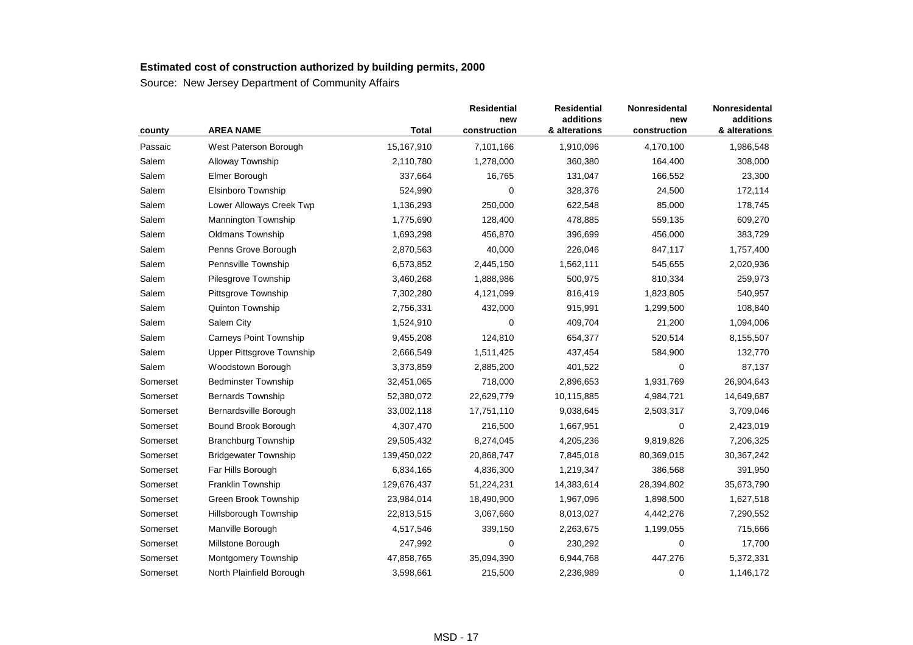| county   | <b>AREA NAME</b>                 | <b>Total</b> | <b>Residential</b><br>new<br>construction | <b>Residential</b><br>additions<br>& alterations | Nonresidental<br>new<br>construction | Nonresidental<br>additions<br>& alterations |
|----------|----------------------------------|--------------|-------------------------------------------|--------------------------------------------------|--------------------------------------|---------------------------------------------|
| Passaic  | West Paterson Borough            | 15,167,910   | 7,101,166                                 | 1,910,096                                        | 4,170,100                            | 1,986,548                                   |
| Salem    | Alloway Township                 | 2,110,780    | 1,278,000                                 | 360,380                                          | 164,400                              | 308,000                                     |
| Salem    | Elmer Borough                    | 337,664      | 16,765                                    | 131,047                                          | 166,552                              | 23,300                                      |
| Salem    | Elsinboro Township               | 524,990      | $\mathbf 0$                               | 328,376                                          | 24,500                               | 172,114                                     |
| Salem    | Lower Alloways Creek Twp         | 1,136,293    | 250,000                                   | 622,548                                          | 85,000                               | 178,745                                     |
| Salem    | <b>Mannington Township</b>       | 1,775,690    | 128,400                                   | 478,885                                          | 559,135                              | 609,270                                     |
| Salem    | <b>Oldmans Township</b>          | 1,693,298    | 456,870                                   | 396,699                                          | 456,000                              | 383,729                                     |
| Salem    | Penns Grove Borough              | 2,870,563    | 40,000                                    | 226,046                                          | 847,117                              | 1,757,400                                   |
| Salem    | Pennsville Township              | 6,573,852    | 2,445,150                                 | 1,562,111                                        | 545,655                              | 2,020,936                                   |
| Salem    | Pilesgrove Township              | 3,460,268    | 1,888,986                                 | 500,975                                          | 810,334                              | 259,973                                     |
| Salem    | Pittsgrove Township              | 7,302,280    | 4,121,099                                 | 816,419                                          | 1,823,805                            | 540,957                                     |
| Salem    | <b>Quinton Township</b>          | 2,756,331    | 432,000                                   | 915,991                                          | 1,299,500                            | 108,840                                     |
| Salem    | Salem City                       | 1,524,910    | $\mathbf 0$                               | 409,704                                          | 21,200                               | 1,094,006                                   |
| Salem    | <b>Carneys Point Township</b>    | 9,455,208    | 124,810                                   | 654,377                                          | 520,514                              | 8,155,507                                   |
| Salem    | <b>Upper Pittsgrove Township</b> | 2,666,549    | 1,511,425                                 | 437,454                                          | 584,900                              | 132,770                                     |
| Salem    | Woodstown Borough                | 3,373,859    | 2,885,200                                 | 401,522                                          | 0                                    | 87,137                                      |
| Somerset | <b>Bedminster Township</b>       | 32,451,065   | 718,000                                   | 2,896,653                                        | 1,931,769                            | 26,904,643                                  |
| Somerset | <b>Bernards Township</b>         | 52,380,072   | 22,629,779                                | 10,115,885                                       | 4,984,721                            | 14,649,687                                  |
| Somerset | Bernardsville Borough            | 33,002,118   | 17,751,110                                | 9,038,645                                        | 2,503,317                            | 3,709,046                                   |
| Somerset | Bound Brook Borough              | 4,307,470    | 216,500                                   | 1,667,951                                        | 0                                    | 2,423,019                                   |
| Somerset | <b>Branchburg Township</b>       | 29,505,432   | 8,274,045                                 | 4,205,236                                        | 9,819,826                            | 7,206,325                                   |
| Somerset | <b>Bridgewater Township</b>      | 139,450,022  | 20,868,747                                | 7,845,018                                        | 80,369,015                           | 30,367,242                                  |
| Somerset | Far Hills Borough                | 6,834,165    | 4,836,300                                 | 1,219,347                                        | 386,568                              | 391,950                                     |
| Somerset | Franklin Township                | 129,676,437  | 51,224,231                                | 14,383,614                                       | 28,394,802                           | 35,673,790                                  |
| Somerset | Green Brook Township             | 23,984,014   | 18,490,900                                | 1,967,096                                        | 1,898,500                            | 1,627,518                                   |
| Somerset | Hillsborough Township            | 22,813,515   | 3,067,660                                 | 8,013,027                                        | 4,442,276                            | 7,290,552                                   |
| Somerset | Manville Borough                 | 4,517,546    | 339,150                                   | 2,263,675                                        | 1,199,055                            | 715,666                                     |
| Somerset | Millstone Borough                | 247,992      | 0                                         | 230,292                                          | 0                                    | 17,700                                      |
| Somerset | Montgomery Township              | 47,858,765   | 35,094,390                                | 6,944,768                                        | 447,276                              | 5,372,331                                   |
| Somerset | North Plainfield Borough         | 3,598,661    | 215,500                                   | 2,236,989                                        | $\mathbf 0$                          | 1,146,172                                   |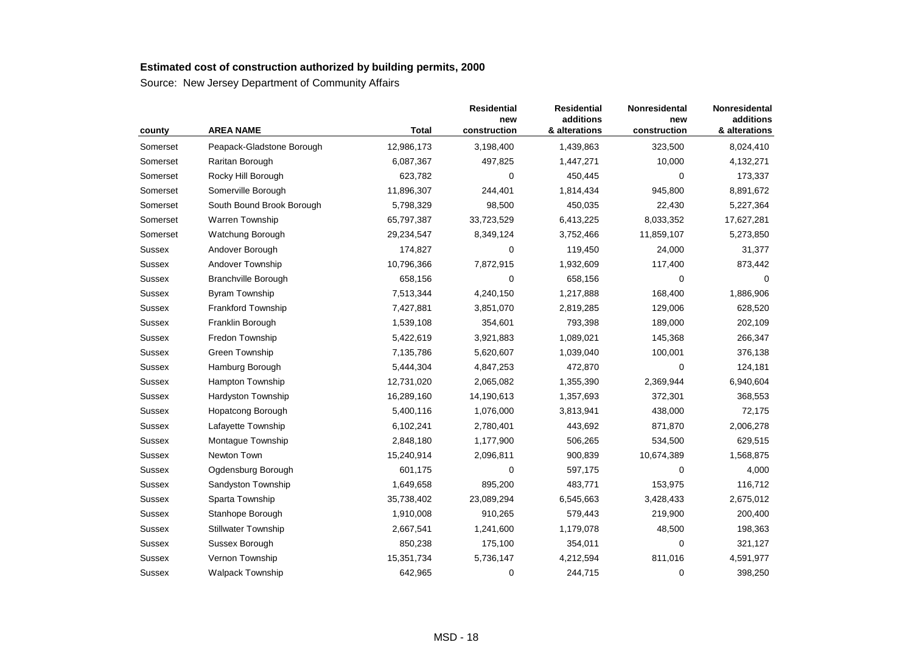| county        | <b>AREA NAME</b>           | <b>Total</b> | <b>Residential</b><br>new<br>construction | <b>Residential</b><br>additions<br>& alterations | Nonresidental<br>new<br>construction | Nonresidental<br>additions<br>& alterations |
|---------------|----------------------------|--------------|-------------------------------------------|--------------------------------------------------|--------------------------------------|---------------------------------------------|
| Somerset      | Peapack-Gladstone Borough  | 12,986,173   | 3,198,400                                 | 1,439,863                                        | 323,500                              | 8,024,410                                   |
| Somerset      | Raritan Borough            | 6,087,367    | 497,825                                   | 1,447,271                                        | 10,000                               | 4,132,271                                   |
| Somerset      | Rocky Hill Borough         | 623,782      | 0                                         | 450,445                                          | 0                                    | 173,337                                     |
| Somerset      | Somerville Borough         | 11,896,307   | 244,401                                   | 1,814,434                                        | 945,800                              | 8,891,672                                   |
| Somerset      | South Bound Brook Borough  | 5,798,329    | 98,500                                    | 450,035                                          | 22,430                               | 5,227,364                                   |
| Somerset      | <b>Warren Township</b>     | 65,797,387   | 33,723,529                                | 6,413,225                                        | 8,033,352                            | 17,627,281                                  |
| Somerset      | Watchung Borough           | 29,234,547   | 8,349,124                                 | 3,752,466                                        | 11,859,107                           | 5,273,850                                   |
| Sussex        | Andover Borough            | 174,827      | 0                                         | 119,450                                          | 24,000                               | 31,377                                      |
| <b>Sussex</b> | Andover Township           | 10,796,366   | 7,872,915                                 | 1,932,609                                        | 117,400                              | 873,442                                     |
| <b>Sussex</b> | <b>Branchville Borough</b> | 658,156      | 0                                         | 658,156                                          | 0                                    |                                             |
| <b>Sussex</b> | <b>Byram Township</b>      | 7,513,344    | 4,240,150                                 | 1,217,888                                        | 168,400                              | 1,886,906                                   |
| <b>Sussex</b> | Frankford Township         | 7,427,881    | 3,851,070                                 | 2,819,285                                        | 129,006                              | 628,520                                     |
| Sussex        | Franklin Borough           | 1,539,108    | 354,601                                   | 793,398                                          | 189,000                              | 202,109                                     |
| <b>Sussex</b> | Fredon Township            | 5,422,619    | 3,921,883                                 | 1,089,021                                        | 145,368                              | 266,347                                     |
| Sussex        | Green Township             | 7,135,786    | 5,620,607                                 | 1,039,040                                        | 100,001                              | 376,138                                     |
| Sussex        | Hamburg Borough            | 5,444,304    | 4,847,253                                 | 472,870                                          | $\Omega$                             | 124,181                                     |
| <b>Sussex</b> | <b>Hampton Township</b>    | 12,731,020   | 2,065,082                                 | 1,355,390                                        | 2,369,944                            | 6,940,604                                   |
| Sussex        | <b>Hardyston Township</b>  | 16,289,160   | 14,190,613                                | 1,357,693                                        | 372,301                              | 368,553                                     |
| <b>Sussex</b> | Hopatcong Borough          | 5,400,116    | 1,076,000                                 | 3,813,941                                        | 438,000                              | 72,175                                      |
| <b>Sussex</b> | Lafayette Township         | 6,102,241    | 2,780,401                                 | 443,692                                          | 871,870                              | 2,006,278                                   |
| Sussex        | Montaque Township          | 2,848,180    | 1,177,900                                 | 506,265                                          | 534,500                              | 629,515                                     |
| Sussex        | Newton Town                | 15,240,914   | 2,096,811                                 | 900,839                                          | 10,674,389                           | 1,568,875                                   |
| <b>Sussex</b> | Ogdensburg Borough         | 601,175      | 0                                         | 597,175                                          | $\Omega$                             | 4,000                                       |
| Sussex        | Sandyston Township         | 1,649,658    | 895,200                                   | 483,771                                          | 153,975                              | 116,712                                     |
| Sussex        | Sparta Township            | 35,738,402   | 23,089,294                                | 6,545,663                                        | 3,428,433                            | 2,675,012                                   |
| <b>Sussex</b> | Stanhope Borough           | 1,910,008    | 910,265                                   | 579,443                                          | 219,900                              | 200,400                                     |
| <b>Sussex</b> | <b>Stillwater Township</b> | 2,667,541    | 1,241,600                                 | 1,179,078                                        | 48,500                               | 198,363                                     |
| Sussex        | Sussex Borough             | 850,238      | 175,100                                   | 354,011                                          | 0                                    | 321,127                                     |
| <b>Sussex</b> | Vernon Township            | 15,351,734   | 5,736,147                                 | 4,212,594                                        | 811,016                              | 4,591,977                                   |
| <b>Sussex</b> | <b>Walpack Township</b>    | 642,965      | 0                                         | 244,715                                          | 0                                    | 398,250                                     |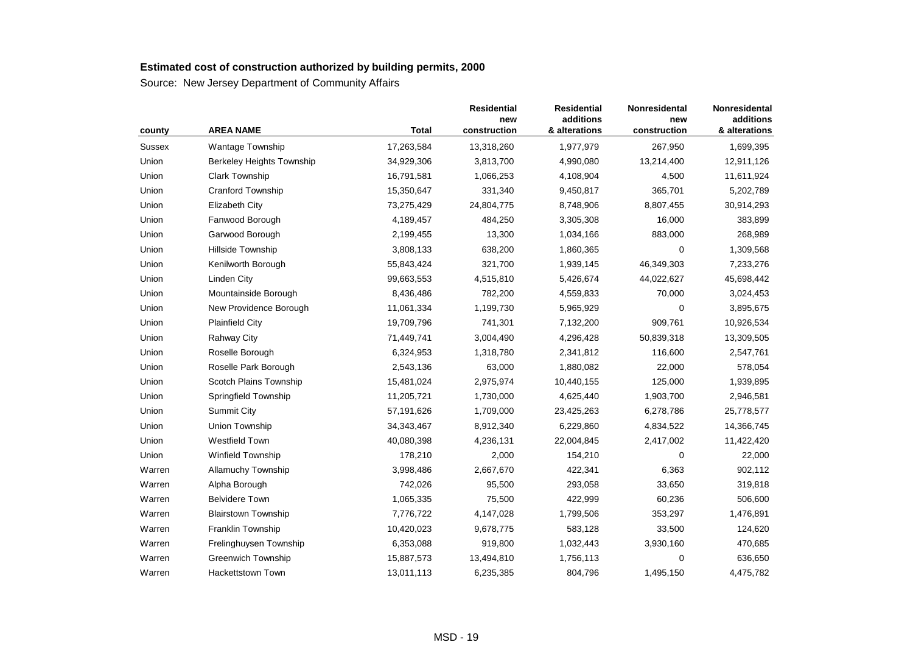| county | <b>AREA NAME</b>           | <b>Total</b> | <b>Residential</b><br>new<br>construction | <b>Residential</b><br>additions<br>& alterations | Nonresidental<br>new<br>construction | Nonresidental<br>additions<br>& alterations |
|--------|----------------------------|--------------|-------------------------------------------|--------------------------------------------------|--------------------------------------|---------------------------------------------|
| Sussex | Wantage Township           | 17,263,584   | 13,318,260                                | 1,977,979                                        | 267,950                              | 1,699,395                                   |
| Union  | Berkeley Heights Township  | 34,929,306   | 3,813,700                                 | 4,990,080                                        | 13,214,400                           | 12,911,126                                  |
| Union  | <b>Clark Township</b>      | 16,791,581   | 1,066,253                                 | 4,108,904                                        | 4,500                                | 11,611,924                                  |
| Union  | <b>Cranford Township</b>   | 15,350,647   | 331,340                                   | 9,450,817                                        | 365,701                              | 5,202,789                                   |
| Union  | Elizabeth City             | 73,275,429   | 24,804,775                                | 8,748,906                                        | 8,807,455                            | 30,914,293                                  |
| Union  | Fanwood Borough            | 4,189,457    | 484,250                                   | 3,305,308                                        | 16,000                               | 383,899                                     |
| Union  | Garwood Borough            | 2,199,455    | 13,300                                    | 1,034,166                                        | 883,000                              | 268,989                                     |
| Union  | Hillside Township          | 3,808,133    | 638,200                                   | 1,860,365                                        | $\mathbf 0$                          | 1,309,568                                   |
| Union  | Kenilworth Borough         | 55,843,424   | 321,700                                   | 1,939,145                                        | 46,349,303                           | 7,233,276                                   |
| Union  | Linden City                | 99,663,553   | 4,515,810                                 | 5,426,674                                        | 44,022,627                           | 45,698,442                                  |
| Union  | Mountainside Borough       | 8,436,486    | 782,200                                   | 4,559,833                                        | 70,000                               | 3,024,453                                   |
| Union  | New Providence Borough     | 11,061,334   | 1,199,730                                 | 5,965,929                                        | 0                                    | 3,895,675                                   |
| Union  | <b>Plainfield City</b>     | 19,709,796   | 741,301                                   | 7,132,200                                        | 909,761                              | 10,926,534                                  |
| Union  | <b>Rahway City</b>         | 71,449,741   | 3,004,490                                 | 4,296,428                                        | 50,839,318                           | 13,309,505                                  |
| Union  | Roselle Borough            | 6,324,953    | 1,318,780                                 | 2,341,812                                        | 116,600                              | 2,547,761                                   |
| Union  | Roselle Park Borough       | 2,543,136    | 63,000                                    | 1,880,082                                        | 22,000                               | 578,054                                     |
| Union  | Scotch Plains Township     | 15,481,024   | 2,975,974                                 | 10,440,155                                       | 125,000                              | 1,939,895                                   |
| Union  | Springfield Township       | 11,205,721   | 1,730,000                                 | 4,625,440                                        | 1,903,700                            | 2,946,581                                   |
| Union  | <b>Summit City</b>         | 57,191,626   | 1,709,000                                 | 23,425,263                                       | 6,278,786                            | 25,778,577                                  |
| Union  | Union Township             | 34, 343, 467 | 8,912,340                                 | 6,229,860                                        | 4,834,522                            | 14,366,745                                  |
| Union  | Westfield Town             | 40,080,398   | 4,236,131                                 | 22,004,845                                       | 2,417,002                            | 11,422,420                                  |
| Union  | <b>Winfield Township</b>   | 178,210      | 2,000                                     | 154,210                                          | $\Omega$                             | 22,000                                      |
| Warren | <b>Allamuchy Township</b>  | 3,998,486    | 2,667,670                                 | 422,341                                          | 6,363                                | 902,112                                     |
| Warren | Alpha Borough              | 742,026      | 95,500                                    | 293,058                                          | 33,650                               | 319,818                                     |
| Warren | <b>Belvidere Town</b>      | 1,065,335    | 75,500                                    | 422,999                                          | 60,236                               | 506,600                                     |
| Warren | <b>Blairstown Township</b> | 7,776,722    | 4,147,028                                 | 1,799,506                                        | 353,297                              | 1,476,891                                   |
| Warren | Franklin Township          | 10,420,023   | 9,678,775                                 | 583,128                                          | 33,500                               | 124,620                                     |
| Warren | Frelinghuysen Township     | 6,353,088    | 919,800                                   | 1,032,443                                        | 3,930,160                            | 470,685                                     |
| Warren | Greenwich Township         | 15,887,573   | 13,494,810                                | 1,756,113                                        | $\mathbf 0$                          | 636,650                                     |
| Warren | Hackettstown Town          | 13,011,113   | 6,235,385                                 | 804,796                                          | 1,495,150                            | 4,475,782                                   |